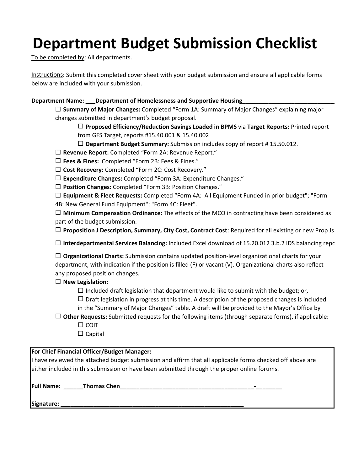# **Department Budget Submission Checklist**

To be completed by: All departments.

Instructions: Submit this completed cover sheet with your budget submission and ensure all applicable forms below are included with your submission.

# **Department Name: \_\_\_Department of Homelessness and Supportive Housing\_\_\_\_\_\_\_\_\_\_\_\_\_\_\_\_\_\_\_\_\_\_\_\_\_\_\_\_\_**

 **Summary of Major Changes:** Completed "Form 1A: Summary of Major Changes" explaining major changes submitted in department's budget proposal.

 **Proposed Efficiency/Reduction Savings Loaded in BPMS** via **Target Reports:** Printed report from GFS Target, reports #15.40.001 & 15.40.002

**Department Budget Summary:** Submission includes copy of report # 15.50.012.

**Revenue Report:** Completed "Form 2A: Revenue Report."

- **Fees & Fines:** Completed "Form 2B: Fees & Fines."
- **Cost Recovery:** Completed "Form 2C: Cost Recovery."
- **Expenditure Changes:** Completed "Form 3A: Expenditure Changes."

**Position Changes:** Completed "Form 3B: Position Changes."

 **Equipment & Fleet Requests:** Completed "Form 4A: All Equipment Funded in prior budget"; "Form 4B: New General Fund Equipment"; "Form 4C: Fleet".

 **Minimum Compensation Ordinance:** The effects of the MCO in contracting have been considered as part of the budget submission.

**Proposition J Description, Summary, City Cost, Contract Cost**: Required for all existing or new Prop Js

**Interdepartmental Services Balancing:** Included Excel download of 15.20.012 3.b.2 IDS balancing repo

 **Organizational Charts:** Submission contains updated position‐level organizational charts for your department, with indication if the position is filled (F) or vacant (V). Organizational charts also reflect any proposed position changes.

# **New Legislation:**

 $\Box$  Included draft legislation that department would like to submit with the budget; or,

 $\Box$  Draft legislation in progress at this time. A description of the proposed changes is included

- in the "Summary of Major Changes" table. A draft will be provided to the Mayor's Office by
- **Other Requests:** Submitted requests for the following items (through separate forms), if applicable:
	- $\Box$  COIT
	- $\square$  Capital

| For Chief Financial Officer/Budget Manager:                                                               |  |
|-----------------------------------------------------------------------------------------------------------|--|
| I have reviewed the attached budget submission and affirm that all applicable forms checked off above are |  |
| either included in this submission or have been submitted through the proper online forums.               |  |
| <b>Full Name:</b><br><b>Thomas Chen</b><br>$\blacksquare$                                                 |  |

**Signature: \_\_\_\_\_\_\_\_\_\_\_\_\_\_\_\_\_\_\_\_\_\_\_\_\_\_\_\_\_\_\_\_\_\_\_\_\_\_\_\_\_\_\_\_\_\_\_\_\_\_\_\_\_\_\_\_**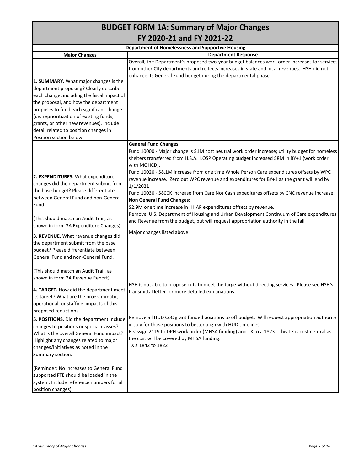| <b>BUDGET FORM 1A: Summary of Major Changes</b>                                      |                                                                                                                                                                                                                                                                |  |  |  |  |  |  |  |  |  |  |
|--------------------------------------------------------------------------------------|----------------------------------------------------------------------------------------------------------------------------------------------------------------------------------------------------------------------------------------------------------------|--|--|--|--|--|--|--|--|--|--|
|                                                                                      | FY 2020-21 and FY 2021-22                                                                                                                                                                                                                                      |  |  |  |  |  |  |  |  |  |  |
|                                                                                      | <b>Department of Homelessness and Supportive Housing</b>                                                                                                                                                                                                       |  |  |  |  |  |  |  |  |  |  |
| <b>Major Changes</b>                                                                 | <b>Department Response</b>                                                                                                                                                                                                                                     |  |  |  |  |  |  |  |  |  |  |
|                                                                                      | Overall, the Department's proposed two-year budget balances work order increases for services<br>from other City departments and reflects increases in state and local revenues. HSH did not<br>enhance its General Fund budget during the departmental phase. |  |  |  |  |  |  |  |  |  |  |
| 1. SUMMARY. What major changes is the                                                |                                                                                                                                                                                                                                                                |  |  |  |  |  |  |  |  |  |  |
| department proposing? Clearly describe                                               |                                                                                                                                                                                                                                                                |  |  |  |  |  |  |  |  |  |  |
| each change, including the fiscal impact of                                          |                                                                                                                                                                                                                                                                |  |  |  |  |  |  |  |  |  |  |
| the proposal, and how the department                                                 |                                                                                                                                                                                                                                                                |  |  |  |  |  |  |  |  |  |  |
| proposes to fund each significant change                                             |                                                                                                                                                                                                                                                                |  |  |  |  |  |  |  |  |  |  |
| (i.e. reprioritization of existing funds,                                            |                                                                                                                                                                                                                                                                |  |  |  |  |  |  |  |  |  |  |
| grants, or other new revenues). Include                                              |                                                                                                                                                                                                                                                                |  |  |  |  |  |  |  |  |  |  |
| detail related to position changes in                                                |                                                                                                                                                                                                                                                                |  |  |  |  |  |  |  |  |  |  |
| Position section below.                                                              |                                                                                                                                                                                                                                                                |  |  |  |  |  |  |  |  |  |  |
|                                                                                      | <b>General Fund Changes:</b><br>Fund 10000 - Major change is \$1M cost neutral work order increase; utility budget for homeless<br>shelters transferred from H.S.A. LOSP Operating budget increased \$8M in BY+1 (work order<br>with MOHCD).                   |  |  |  |  |  |  |  |  |  |  |
| 2. EXPENDITURES. What expenditure                                                    | Fund 10020 - \$8.1M increase from one time Whole Person Care expenditures offsets by WPC                                                                                                                                                                       |  |  |  |  |  |  |  |  |  |  |
| changes did the department submit from                                               | revenue increase. Zero out WPC revenue and expenditures for BY+1 as the grant will end by                                                                                                                                                                      |  |  |  |  |  |  |  |  |  |  |
| the base budget? Please differentiate                                                | 1/1/2021                                                                                                                                                                                                                                                       |  |  |  |  |  |  |  |  |  |  |
| between General Fund and non-General                                                 | Fund 10030 - \$800K increase from Care Not Cash expeditures offsets by CNC revenue increase.                                                                                                                                                                   |  |  |  |  |  |  |  |  |  |  |
| Fund.                                                                                | <b>Non General Fund Changes:</b>                                                                                                                                                                                                                               |  |  |  |  |  |  |  |  |  |  |
|                                                                                      | \$2.9M one time increase in HHAP expenditures offsets by revenue.<br>Remove U.S. Department of Housing and Urban Development Continuum of Care expenditures                                                                                                    |  |  |  |  |  |  |  |  |  |  |
| (This should match an Audit Trail, as<br>shown in form 3A Expenditure Changes).      | and Revenue from the budget, but will request appropriation authority in the fall                                                                                                                                                                              |  |  |  |  |  |  |  |  |  |  |
| 3. REVENUE. What revenue changes did                                                 | Major changes listed above.                                                                                                                                                                                                                                    |  |  |  |  |  |  |  |  |  |  |
| the department submit from the base                                                  |                                                                                                                                                                                                                                                                |  |  |  |  |  |  |  |  |  |  |
| budget? Please differentiate between                                                 |                                                                                                                                                                                                                                                                |  |  |  |  |  |  |  |  |  |  |
| General Fund and non-General Fund.                                                   |                                                                                                                                                                                                                                                                |  |  |  |  |  |  |  |  |  |  |
|                                                                                      |                                                                                                                                                                                                                                                                |  |  |  |  |  |  |  |  |  |  |
| (This should match an Audit Trail, as<br>shown in form 2A Revenue Report).           |                                                                                                                                                                                                                                                                |  |  |  |  |  |  |  |  |  |  |
| 4. TARGET. How did the department meet<br>its target? What are the programmatic,     | HSH is not able to propose cuts to meet the targe without directing services. Please see HSH's<br>transmittal letter for more detailed explanations.                                                                                                           |  |  |  |  |  |  |  |  |  |  |
| operational, or staffing impacts of this                                             |                                                                                                                                                                                                                                                                |  |  |  |  |  |  |  |  |  |  |
| proposed reduction?                                                                  |                                                                                                                                                                                                                                                                |  |  |  |  |  |  |  |  |  |  |
|                                                                                      | Remove all HUD CoC grant funded positions to off budget. Will request appropriation authority                                                                                                                                                                  |  |  |  |  |  |  |  |  |  |  |
| 5. POSITIONS. Did the department include<br>changes to positions or special classes? | in July for those positions to better align with HUD timelines.                                                                                                                                                                                                |  |  |  |  |  |  |  |  |  |  |
| What is the overall General Fund impact?                                             | Reassign 2119 to DPH work order (MHSA funding) and TX to a 1823. This TX is cost neutral as                                                                                                                                                                    |  |  |  |  |  |  |  |  |  |  |
| Highlight any changes related to major                                               | the cost will be covered by MHSA funding.                                                                                                                                                                                                                      |  |  |  |  |  |  |  |  |  |  |
| changes/initiatives as noted in the                                                  | TX a 1842 to 1822                                                                                                                                                                                                                                              |  |  |  |  |  |  |  |  |  |  |
| Summary section.                                                                     |                                                                                                                                                                                                                                                                |  |  |  |  |  |  |  |  |  |  |
|                                                                                      |                                                                                                                                                                                                                                                                |  |  |  |  |  |  |  |  |  |  |
| (Reminder: No increases to General Fund                                              |                                                                                                                                                                                                                                                                |  |  |  |  |  |  |  |  |  |  |
| supported FTE should be loaded in the                                                |                                                                                                                                                                                                                                                                |  |  |  |  |  |  |  |  |  |  |
| system. Include reference numbers for all                                            |                                                                                                                                                                                                                                                                |  |  |  |  |  |  |  |  |  |  |
| position changes).                                                                   |                                                                                                                                                                                                                                                                |  |  |  |  |  |  |  |  |  |  |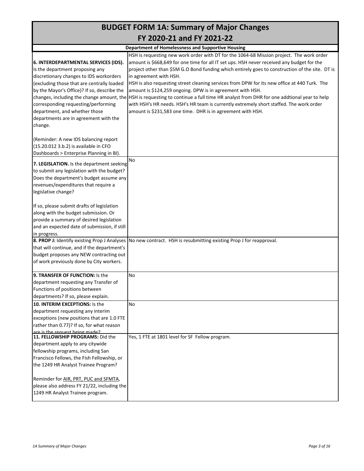# **BUDGET FORM 1A: Summary of Major Changes FY 2020‐21 and FY 2021‐22**

|                                                                    | <b>Department of Homelessness and Supportive Housing</b>                                                                               |
|--------------------------------------------------------------------|----------------------------------------------------------------------------------------------------------------------------------------|
|                                                                    | HSH is requesting new work order with DT for the 1064-68 Mission project. The work order                                               |
| 6. INTERDEPARTMENTAL SERVICES (IDS).                               | amount is \$668,649 for one time for all IT set ups. HSH never received any budget for the                                             |
| Is the department proposing any                                    | project other than \$5M G.O Bond funding which entirely goes to construction of the site. DT is                                        |
| discretionary changes to IDS workorders                            | in agreement with HSH.                                                                                                                 |
| (excluding those that are centrally loaded                         | HSH is also requesting street cleaning services from DPW for its new office at 440 Turk. The                                           |
| by the Mayor's Office)? If so, describe the                        | amount is \$124,259 ongoing. DPW is in agreement with HSH.                                                                             |
|                                                                    | changes, including the change amount, the HSH is requesting to continue a full time HR analyst from DHR for one addtional year to help |
| corresponding requesting/performing                                | with HSH's HR needs. HSH's HR team is currently extremely short staffed. The work order                                                |
| department, and whether those                                      | amount is \$231,583 one time. DHR is in agreement with HSH.                                                                            |
| departments are in agreement with the                              |                                                                                                                                        |
| change.                                                            |                                                                                                                                        |
|                                                                    |                                                                                                                                        |
| (Reminder: A new IDS balancing report                              |                                                                                                                                        |
| (15.20.012 3.b.2) is available in CFO                              |                                                                                                                                        |
| Dashboards > Enterprise Planning in BI).                           |                                                                                                                                        |
|                                                                    | No                                                                                                                                     |
| 7. LEGISLATION. Is the department seeking                          |                                                                                                                                        |
| to submit any legislation with the budget?                         |                                                                                                                                        |
| Does the department's budget assume any                            |                                                                                                                                        |
| revenues/expenditures that require a                               |                                                                                                                                        |
| legislative change?                                                |                                                                                                                                        |
| If so, please submit drafts of legislation                         |                                                                                                                                        |
| along with the budget submission. Or                               |                                                                                                                                        |
|                                                                    |                                                                                                                                        |
| provide a summary of desired legislation                           |                                                                                                                                        |
| and an expected date of submission, if still                       |                                                                                                                                        |
| in progress.<br>8. PROP J: Identify existing Prop J Analyses       |                                                                                                                                        |
| that will continue, and if the department's                        | No new contract. HSH is resubmitting existing Prop J for reapproval.                                                                   |
| budget proposes any NEW contracting out                            |                                                                                                                                        |
| of work previously done by City workers.                           |                                                                                                                                        |
|                                                                    |                                                                                                                                        |
| 9. TRANSFER OF FUNCTION: Is the                                    | No                                                                                                                                     |
| department requesting any Transfer of                              |                                                                                                                                        |
| Functions of positions between                                     |                                                                                                                                        |
| departments? If so, please explain.                                |                                                                                                                                        |
| 10. INTERIM EXCEPTIONS: Is the                                     | No                                                                                                                                     |
| department requesting any interim                                  |                                                                                                                                        |
| exceptions (new positions that are 1.0 FTE                         |                                                                                                                                        |
| rather than 0.77)? If so, for what reason                          |                                                                                                                                        |
| are is the request heing made?<br>11. FELLOWSHIP PROGRAMS: Did the | Yes, 1 FTE at 1801 level for SF Fellow program.                                                                                        |
| department apply to any citywide                                   |                                                                                                                                        |
| fellowship programs, including San                                 |                                                                                                                                        |
| Francisco Fellows, the Fish Fellowship, or                         |                                                                                                                                        |
| the 1249 HR Analyst Trainee Program?                               |                                                                                                                                        |
|                                                                    |                                                                                                                                        |
| Reminder for AIR, PRT, PUC and SFMTA,                              |                                                                                                                                        |
| please also address FY 21/22, including the                        |                                                                                                                                        |
| 1249 HR Analyst Trainee program.                                   |                                                                                                                                        |
|                                                                    |                                                                                                                                        |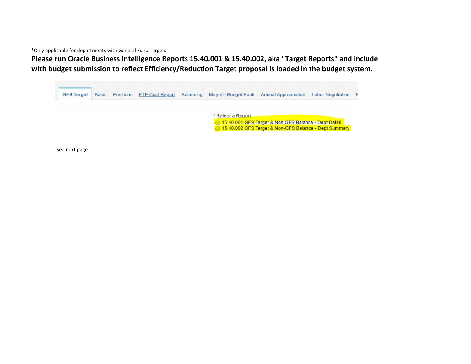\*Only applicable for departments with General Fund Targets

**Please run Oracle Business Intelligence Reports 15.40.001 & 15.40.002, aka "Target Reports" and include with budget submission to reflect Efficiency/Reduction Target proposal is loaded in the budget system.**

| <b>GFS Target</b> | <b>Basic</b> | Positions | <b>FTE Cost Report</b> | Balancing | Mayor's Budget Book Annual Appropriation |                                                       | <b>Labor Negotiation</b> |  |
|-------------------|--------------|-----------|------------------------|-----------|------------------------------------------|-------------------------------------------------------|--------------------------|--|
|                   |              |           |                        |           | * Select a Report                        |                                                       |                          |  |
|                   |              |           |                        |           |                                          | 15.40.001 GFS Target & Non GFS Balance - Dept Detail  |                          |  |
|                   |              |           |                        |           |                                          | 15.40.002 GFS Target & Non-GFS Balance - Dept Summary |                          |  |

See next page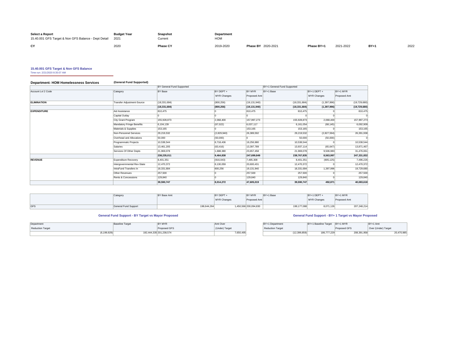| Select a Report<br>15.40.001 GFS Target & Non GFS Balance - Dept Detail 2021 | <b>Budget Year</b> | <b>Snapshot</b><br>Current | Department<br><b>HOM</b> |                           |            |           |       |      |
|------------------------------------------------------------------------------|--------------------|----------------------------|--------------------------|---------------------------|------------|-----------|-------|------|
| CY                                                                           | 2020               | <b>Phase CY</b>            | 2019-2020                | <b>Phase BY 2020-2021</b> | Phase BY+1 | 2021-2022 | $BY+$ | 2022 |

**15.40.001 GFS Target & Non GFS Balance** Time run: 2/21/2020 8:35:07 AM

#### **Department: HOM Homelessness Services (General Fund Supported)**

|                    |                                  | BY General Fund Supported |                    |                | BY+1 General Fund Supported |               |                |
|--------------------|----------------------------------|---------------------------|--------------------|----------------|-----------------------------|---------------|----------------|
| Account Lvl 2 Code | Category                         | BY Base                   | BY DEPT +          | BY MYR         | BY+1 Base                   | BY+1 DEPT +   | BY+1 MYR       |
|                    |                                  |                           | <b>MYR Changes</b> | Proposed Amt   |                             | MYR Changes   | Proposed Amt   |
| <b>ELIMINATION</b> | Transfer Adjustment-Source       | (18, 331, 684)            | (800, 256)         | (19, 131, 940) | (18, 331, 684)              | (1, 397, 996) | (19,729,680)   |
|                    |                                  | (18, 331, 684)            | (800, 256)         | (19, 131, 940) | (18, 331, 684)              | (1, 397, 996) | (19, 729, 680) |
| <b>EXPENDITURE</b> | Aid Assistance                   | 810,475                   |                    | 810,475        | 810,475                     |               | 810.475        |
|                    | Capital Outlay                   |                           |                    |                |                             |               |                |
|                    | City Grant Program               | 155,928,873               | 2,068,400          | 157,997,273    | 155,928,873                 | 2,068,400     | 157,997,273    |
|                    | <b>Mandatory Fringe Benefits</b> | 6,104,139                 | (67, 022)          | 6,037,117      | 6.161.054                   | (68, 145)     | 6,092,909      |
|                    | Materials & Supplies             | 153,165                   |                    | 153.165        | 153,165                     |               | 153.165        |
|                    | Non-Personnel Services           | 29.219.532                | (2,829,940)        | 26,389,592     | 29,219,532                  | (2,827,594)   | 26,391,938     |
|                    | Overhead and Allocations         | 50,000                    | (50,000)           | l٥             | 50,000                      | (50,000)      |                |
|                    | Programmatic Projects            | 10,538,544                | 8,718,436          | 19,256,980     | 10,538,544                  |               | 10,538,544     |
|                    | Salaries                         | 13,461,205                | (63, 416)          | 13,397,789     | 13,937,114                  | (65, 647)     | 13,871,467     |
|                    | Services Of Other Depts          | 21.969.078                | 1,688,380          | 23,657,458     | 21,969,078                  | 9,506,983     | 31,476,061     |
|                    |                                  | 238,235,011               | 9,464,838          | 247,699,849    | 238,767,835                 | 8,563,997     | 247,331,832    |
| <b>REVENUE</b>     | Expenditure Recovery             | 8,401,351                 | (916,043)          | 7,485,308      | 8,401,351                   | (905, 125)    | 7,496,226      |
|                    | Intergovernmental Rev-State      | 12,470,372                | 8,130,059          | 20,600,431     | 12,470,372                  |               | 12,470,372     |
|                    | IntraFund Transfers In           | 18,331,684                | 800,256            | 19,131,940     | 18,331,684                  | 1,397,996     | 19,729,680     |
|                    | Other Revenues                   | 257,500                   |                    | 257,500        | 257,500                     |               | 257,500        |
|                    | Rents & Concessions              | 129,840                   |                    | 129,840        | 129,840                     |               | 129,840        |
|                    |                                  | 39,590,747                | 8,014,272          | 47,605,019     | 39,590,747                  | 492,871       | 40,083,618     |

|     | Category             | BY Base Amt | BY DEPT +   | BY MYR                | BY+1 Base   | BY+1 DEPT + | BY+1 MYR     |             |
|-----|----------------------|-------------|-------------|-----------------------|-------------|-------------|--------------|-------------|
|     |                      |             | MYR Changes | Proposed Amt          |             | MYR Changes | Proposed Amt |             |
|     |                      |             |             |                       |             |             |              |             |
| GFS | General Fund Support | 198,644,264 |             | 1,450,566 200,094,830 | 199,177,088 | 8,071,126   |              | 207,248,214 |

# **General Fund Support - BY Target vs Mayor Proposed General Fund Support - BY+ 1 Target vs Mayor Proposed**

| Department              | <b>Baseline Target</b> | BY MYR                  | Amt Over       | BY+1 Department         | BY+1 Baseline Target | $BY+1$ MYR   | BY+1 Amt            |
|-------------------------|------------------------|-------------------------|----------------|-------------------------|----------------------|--------------|---------------------|
| <b>Reduction Target</b> |                        | Proposed GFS            | (Under) Target | <b>Reduction Target</b> |                      | Proposed GFS | Over (Under) Target |
| 199.929                 |                        | 192.444.335 201.238.574 | 7,650,495      | (12,399,859)            | 186,777,229          | 208,391,958  | 20,470,985          |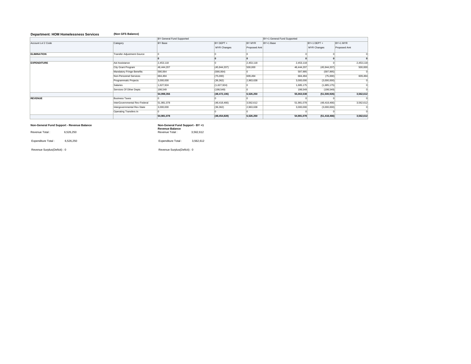# **Department: HOM Homelessness Services (Non GFS Balance)**

|                    |                               | BY General Fund Supported |                    |               | BY+1 General Fund Supported |                    |              |
|--------------------|-------------------------------|---------------------------|--------------------|---------------|-----------------------------|--------------------|--------------|
| Account Lvl 2 Code | Category                      | <b>BY Base</b>            | <b>BY DEPT +</b>   | <b>BY MYR</b> | BY+1 Base                   | BY+1 DEPT +        | BY+1 MYR     |
|                    |                               |                           | <b>MYR Changes</b> | Proposed Amt  |                             | <b>MYR Changes</b> | Proposed Amt |
| <b>ELIMINATION</b> | Transfer Adjustment-Source    |                           |                    |               |                             |                    |              |
|                    |                               |                           |                    |               |                             |                    |              |
| <b>EXPENDITURE</b> | Aid Assistance                | 2,453,118                 |                    | 2,453,118     | 2,453,118                   |                    | 2,453,118    |
|                    | City Grant Program            | 46,444,207                | (45, 944, 207)     | 500,000       | 46,444,207                  | (45, 944, 207)     | 500,000      |
|                    | Mandatory Fringe Benefits     | 590,064                   | (590,064)          |               | 597,995                     | (597, 995)         |              |
|                    | Non-Personnel Services        | 684,494                   | (75,000)           | 609.494       | 684,494                     | (75,000)           | 609,494      |
|                    | Programmatic Projects         | 3,000,000                 | (36, 362)          | 2,963,638     | 3,000,000                   | (3,000,000)        |              |
|                    | Salaries                      | 1,627,924                 | (1,627,924)        |               | 1,685,175                   | (1,685,175)        |              |
|                    | Services Of Other Depts       | 198,549                   | (198, 549)         |               | 198,549                     | (198, 549)         |              |
|                    |                               | 54,998,356                | (48, 472, 106)     | 6,526,250     | 55,063,538                  | (51,500,926)       | 3,562,612    |
| <b>REVENUE</b>     | <b>Business Taxes</b>         |                           |                    |               |                             |                    |              |
|                    | InterGovernmental Rev-Federal | 51,981,078                | (48, 418, 466)     | 3,562,612     | 51,981,078                  | (48, 418, 466)     | 3,562,612    |
|                    | Intergovernmental Rev-State   | 3,000,000                 | (36, 362)          | 2,963,638     | 3,000,000                   | (3,000,000)        |              |
|                    | Operating Transfers In        |                           |                    |               |                             |                    |              |
|                    |                               | 54,981,078                | (48, 454, 828)     | 6,526,250     | 54,981,078                  | (51, 418, 466)     | 3,562,612    |

#### **Non-General Fund Support - Revenue Balance**

**Revenue Balance**  Revenue Total : 6,526,250 Revenue Total : 3,562,612

Expenditure Total : 6,526,250 Expenditure Total : 3,562,612

Revenue Surplus(Deficit) : 0 Revenue Surplus(Deficit) : 0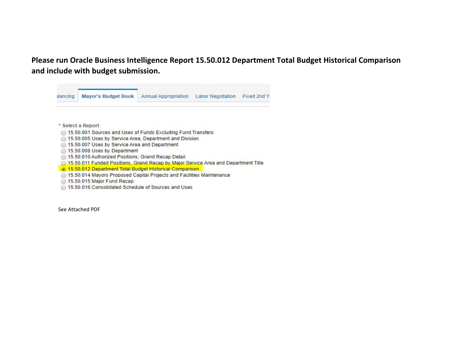**Please run Oracle Business Intelligence Report 15.50.012 Department Total Budget Historical Comparison and include with budget submission.**

| alancing | Mayor's Budget Book                                                                | <b>Annual Appropriation</b> | <b>Labor Negotiation</b> | Fixed 2nd Y |
|----------|------------------------------------------------------------------------------------|-----------------------------|--------------------------|-------------|
|          |                                                                                    |                             |                          |             |
|          | * Select a Report                                                                  |                             |                          |             |
|          | 15.50.001 Sources and Uses of Funds Excluding Fund Transfers                       |                             |                          |             |
|          | 15.50.005 Uses by Service Area. Department and Division                            |                             |                          |             |
|          | 15.50.007 Uses by Service Area and Department                                      |                             |                          |             |
|          | 15.50.008 Uses by Department                                                       |                             |                          |             |
|          | 15.50.010 Authorized Positions, Grand Recap Detail                                 |                             |                          |             |
|          | 15.50.011 Funded Positions, Grand Recap by Major Service Area and Department Title |                             |                          |             |
|          | 15.50.012 Department Total Budget Historical Comparison                            |                             |                          |             |
|          | 15.50.014 Mayors Proposed Capital Projects and Facilities Maintenance              |                             |                          |             |
|          | 15.50.015 Major Fund Recap                                                         |                             |                          |             |
|          | 15.50.016 Consolidated Schedule of Sources and Uses                                |                             |                          |             |
|          |                                                                                    |                             |                          |             |

See Attached PDF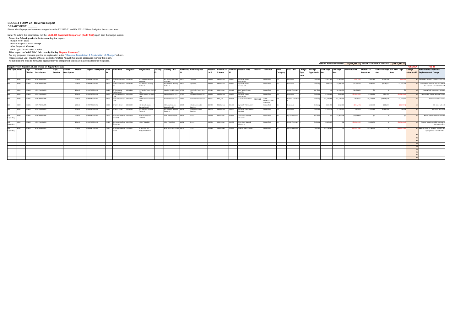# **BUDGET FORM 2A: Revenue Report**

DEPARTMENT:

Please identify proposed revenue changes from the FY 2020-21 and FY 2021-22 Base Budget at the account level.

**Note:** To submit this information, run the 15.30.005 Snapshot Comparison (Audit Trail) report from the budget system.<br>
Select the following criteria before running the report:<br>
Budget Year: 2021<br>
Before Snapshot: Current<br>

| Total BY Revenue Variance: (40,440,556.00) Total BY+1 Revenue Variance: (50,925,595.00 |            |        |                                                             |  |         |                    |         |                                                |       |                     |                                  |                                          |                                          |       |                                                                                                                                  |        |            |        |                                  |              |          |                         |               |                      |              |              |                                  |                 |              |                             |                |                                                        |
|----------------------------------------------------------------------------------------|------------|--------|-------------------------------------------------------------|--|---------|--------------------|---------|------------------------------------------------|-------|---------------------|----------------------------------|------------------------------------------|------------------------------------------|-------|----------------------------------------------------------------------------------------------------------------------------------|--------|------------|--------|----------------------------------|--------------|----------|-------------------------|---------------|----------------------|--------------|--------------|----------------------------------|-----------------|--------------|-----------------------------|----------------|--------------------------------------------------------|
|                                                                                        |            |        | Budget System Report 15.30.005 filtered on Regular Revenues |  |         |                    |         |                                                |       |                     |                                  |                                          |                                          |       |                                                                                                                                  |        |            |        |                                  |              |          |                         |               |                      |              |              |                                  |                 |              |                             | <b>FORMULA</b> | <b>FILL IN</b>                                         |
| <b>GFS Type Dept</b>                                                                   |            | Dept   | <b>Division</b>                                             |  | Dept    | Section            | Dept ID | Dept ID Description Fund Fund Title Project ID |       |                     |                                  |                                          |                                          |       | Project Title Activity Activity Title Authority Authority Title Account Account Lyl Account Account Title TRIO ID TRIO Title AAO |        |            |        |                                  |              |          | <b>AAO Title</b>        | Change Change |                      |              |              | Start Dept End Dept Var Dept Amt | Start BY+1      |              | End BY+1 Dept Var BY+1 Dept | Change         | <b>Revenue Description &amp;</b>                       |
|                                                                                        |            |        | <b>Division Description</b>                                 |  | Section | <b>Description</b> |         |                                                |       |                     |                                  |                                          |                                          |       |                                                                                                                                  | LvI 5  | 5 Name     |        |                                  |              | Category |                         | Type          | <b>Type Code Amt</b> |              | Amt          |                                  | <b>Dept Amt</b> |              | Amt                         |                | submitted? Explanation of Change                       |
|                                                                                        |            |        |                                                             |  |         |                    |         |                                                |       |                     |                                  |                                          |                                          |       |                                                                                                                                  |        |            |        |                                  |              |          |                         | Title         |                      |              |              |                                  |                 |              |                             |                |                                                        |
|                                                                                        |            |        |                                                             |  |         |                    |         |                                                |       |                     |                                  |                                          |                                          |       |                                                                                                                                  |        |            |        |                                  |              |          |                         |               |                      |              |              |                                  |                 |              |                             |                |                                                        |
|                                                                                        | <b>MOH</b> | 03646  | <b>HOM PROGRAMS</b>                                         |  |         |                    | 203646  | <b>HOM PROGRAMS</b>                            |       |                     | 10000 GF Annual Account 10026738 | <b>HO Transitional-Aged</b><br>outh Bas  | HO Transitional-Aged 10000<br>Youth Bas  |       | Operating                                                                                                                        | 486690 | 4860ExpRec |        | Exp Rec Fr Human<br>Services AAO | Unspecified  |          | Recoveries              |               | On-Going             | \$2,052,384  | \$1,983,090  | (\$69,294)                       | \$2,052,384     | \$1,983,090  | (\$69,294                   |                | YES Decrease in recovery amount from H.S.A             |
| GFS                                                                                    | <b>MOH</b> | 203646 | <b>HOM PROGRAMS</b>                                         |  |         |                    | 203646  | <b>HOM PROGRAMS</b>                            |       |                     | 10000 GF Annual Account 10026740 | <b>HO Shelter &amp; Housing</b>          | HO Shelter & Housing 10000               |       | Operating                                                                                                                        | 486690 | 4860ExpRec | 86690  | Exp Rec Fr Human                 | Unspecified  |          | Recoveries              |               | On-Going             | \$808,426    | \$2,099.553  | \$1,291,127                      | \$808,426       | \$2,099,553  | \$1,291,12                  |                | YES Correct error from last year and reflect           |
|                                                                                        |            |        |                                                             |  |         |                    |         |                                                |       |                     |                                  | for the H                                | for the H                                |       |                                                                                                                                  |        |            |        | Services AAO                     |              |          |                         |               |                      |              |              |                                  |                 |              |                             |                | the recovery amount from H.S.A                         |
| <b>GFS</b>                                                                             | HOM        | 03646  | <b>HOM PROGRAMS</b>                                         |  |         |                    | 03646   | <b>HOM PROGRAMS</b>                            |       | 10020 GF Continuing | 10030244                         | HN Whole Person Care 55                  | Housing Fund Premium 17702               |       | HN Whole Person Care 445419                                                                                                      |        | 4450IGRSta | 445419 | State Whole Person               | Unspecified  |          | <b>Regular Revenues</b> |               | One-Time             |              | \$8,130,059  | \$8,130,059                      |                 |              |                             |                | State Whole Person Care revenue                        |
|                                                                                        |            |        |                                                             |  |         |                    |         |                                                |       | Authority Ctrl      |                                  |                                          |                                          |       |                                                                                                                                  |        |            |        | Care Pilot                       |              |          |                         |               |                      |              |              |                                  |                 |              |                             |                |                                                        |
|                                                                                        | HOM        | 03646  | <b>HOM PROGRAMS</b>                                         |  |         |                    | 03646   | <b>HOM PROGRAMS</b>                            |       |                     | 10030 GF Human Services 10024558 | HS HO Human Services                     | Human Services Care 17560                |       | <b>HS Human Services Care</b>                                                                                                    | 486690 | 4860ExpRec | 09988  | Exp Rec Fr Human<br>Services AAO | Unspecified  |          | Recoveries              |               | On-Going             | \$2,766,083  | \$822,083    | (\$1,944,000                     | \$2,766,083     | \$822,083    | (51,944,000)                |                | See row 19. Correct last year's error                  |
| GFS                                                                                    | HOM        | 203646 | <b>HOM PROGRAMS</b>                                         |  |         |                    | 203646  | <b>HOM PROGRAMS</b>                            |       |                     | 10030 GF Human Services 10024558 | <b>HS HO Human Services</b>              | Human Services Care 17560                |       | HS Human Services Care 495001                                                                                                    |        | 4950 ITI   | 495001 | ITI Fr 1G-General Fund 102366    | 10000        |          | Revenue Transfers       |               | On-Going             | \$18,331,684 | \$19,131,940 | \$800,256                        | \$18,331,684    | \$19,729,680 | \$1,397,996                 |                | Revenue increase in CNC                                |
|                                                                                        |            |        |                                                             |  |         |                    |         |                                                |       |                     |                                  |                                          |                                          |       |                                                                                                                                  |        |            |        |                                  | NOPROJ_10030 |          |                         |               |                      |              |              |                                  |                 |              |                             |                |                                                        |
|                                                                                        | HOM        |        |                                                             |  |         |                    |         |                                                |       |                     |                                  |                                          |                                          |       |                                                                                                                                  |        |            | 486430 |                                  | 10024558     |          |                         |               |                      |              |              |                                  |                 |              |                             |                |                                                        |
| <b>GES</b>                                                                             |            | 03646  | <b>HOM PROGRAMS</b>                                         |  |         |                    | 03646   | <b>HOM PROGRAMS</b>                            |       | 10060 GF Work Order | 10026739                         | <b>HO Homelessness</b><br>Jutreach and P | <b>HO Homelessness</b><br>Outreach and P |       | Interdepartmental-<br>Overhead                                                                                                   | 486430 | 4860ExpRec |        | Exp Rec Fr Public Library        | Unspecified  |          | Recoveries              |               | On-Going             | \$466,158    | \$242,003    | (\$224,155                       | \$466,158       | \$248,221    | (\$217,93                   |                | WO recon with LIB                                      |
| <b>GFS</b>                                                                             | HOM        | 03646  | HOM PROGRAMS                                                |  |         |                    | 203646  | HOM PROGRAMS                                   |       | 10060 GF Work Order | 10026740                         | <b>HO Shelter &amp; Housing</b>          | HO Shelter & Housing 10002               |       | Interdepartmental-                                                                                                               | 486400 | 4860ExpRec | 186400 | Exp Rec Fr CommMent              | Jnspecified  |          | Recoveries              |               | On-Going             | \$1,100,411  | \$1,130,690  | \$30,279                         | \$1,100,411     | \$1,135,390  | \$34,97                     |                | WO recon with DPH                                      |
|                                                                                        |            |        |                                                             |  |         |                    |         |                                                |       |                     |                                  | for the H                                | for the H                                |       | Overhead                                                                                                                         |        |            |        | Hith AAO                         |              |          |                         |               |                      |              |              |                                  |                 |              |                             |                |                                                        |
| Self                                                                                   | <b>MOH</b> | 03646  | <b>HOM PROGRAMS</b>                                         |  |         |                    | 03646   | <b>HOM PROGRAMS</b>                            | 12920 |                     | SR Human Welfare- 10034969       | State Homeless Aid -                     | SAFE and Nav Center                      | 10001 | Grants                                                                                                                           | 448999 | 4450IGRSta | 9999   | Other State Grants &             | Unspecified  |          | <b>Regular Revenues</b> |               | One-Time             |              | \$2,963,638  | \$2,963,638                      |                 |              |                             |                | Revenue from State Grant HHAP                          |
| Supporting                                                                             |            |        |                                                             |  |         |                    |         |                                                |       | Grants Sta          |                                  | HEAP 2.0                                 |                                          |       |                                                                                                                                  |        |            |        | ubventns                         |              |          |                         |               |                      |              |              |                                  |                 |              |                             |                |                                                        |
|                                                                                        |            |        |                                                             |  |         |                    |         |                                                |       |                     |                                  |                                          |                                          |       |                                                                                                                                  |        |            |        |                                  |              |          |                         |               |                      |              |              |                                  |                 |              |                             |                |                                                        |
| Self<br>Supporting                                                                     | <b>MOH</b> | 203646 | <b>HOM PROGRAMS</b>                                         |  |         |                    | 203646  | <b>HOM PROGRAMS</b>                            | 12920 | Grants Sta          | SR Human Welfare- 10035544       | HOM FY21 CESH                            | HOM FY21 CESH                            | 10001 | Grants                                                                                                                           | 448999 | 4450IGRSta | 999844 | Other State Grants &<br>ubventns | Unspecified  |          | <b>Regular Revenues</b> |               | On-Going             | \$3,000,000  |              | (\$3,000,000                     | \$3,000,000     |              | (\$3,000,000                |                | Remove State Grant CESH revenue as<br>the grant ended. |
|                                                                                        |            |        |                                                             |  |         |                    |         |                                                |       |                     |                                  |                                          |                                          |       |                                                                                                                                  |        |            |        |                                  |              |          |                         |               |                      |              |              |                                  |                 |              |                             |                |                                                        |
| Self                                                                                   | <b>HOM</b> | 203646 | <b>HOM PROGRAMS</b>                                         |  |         |                    | 203646  | <b>HOM PROGRAMS</b>                            |       |                     | 12960 SR Human Welfare- 10034647 | HOM20 CoC AO                             | HOM20 CoC AO Budget 10001                |       | Grants                                                                                                                           | 444936 | 4400IGREed | 444936 | <b>Federal Direct Contract:</b>  | Unspecified  |          | <b>Regular Revenues</b> |               | On-Going             | \$48,418,466 |              | (\$48,418,466                    | \$48,418,466    |              | (\$48,418,466               |                | YES Remove HUD CoC revenue. Will request               |
| Supporting                                                                             |            |        |                                                             |  |         |                    |         |                                                |       | Grants              |                                  | Budget for HUD Gr                        |                                          |       |                                                                                                                                  |        |            |        |                                  |              |          |                         |               |                      |              |              |                                  |                 |              |                             |                | appropriation authority in fall.                       |
|                                                                                        |            |        |                                                             |  |         |                    |         |                                                |       |                     |                                  |                                          |                                          |       |                                                                                                                                  |        |            |        |                                  |              |          |                         |               |                      |              |              |                                  |                 |              |                             |                |                                                        |
|                                                                                        |            |        |                                                             |  |         |                    |         |                                                |       |                     |                                  |                                          |                                          |       |                                                                                                                                  |        |            |        |                                  |              |          |                         |               |                      |              |              |                                  |                 |              |                             |                |                                                        |
|                                                                                        |            |        |                                                             |  |         |                    |         |                                                |       |                     |                                  |                                          |                                          |       |                                                                                                                                  |        |            |        |                                  |              |          |                         |               |                      |              |              |                                  |                 |              |                             |                |                                                        |
|                                                                                        |            |        |                                                             |  |         |                    |         |                                                |       |                     |                                  |                                          |                                          |       |                                                                                                                                  |        |            |        |                                  |              |          |                         |               |                      |              |              |                                  |                 |              |                             |                |                                                        |
|                                                                                        |            |        |                                                             |  |         |                    |         |                                                |       |                     |                                  |                                          |                                          |       |                                                                                                                                  |        |            |        |                                  |              |          |                         |               |                      |              |              |                                  |                 |              |                             |                |                                                        |
|                                                                                        |            |        |                                                             |  |         |                    |         |                                                |       |                     |                                  |                                          |                                          |       |                                                                                                                                  |        |            |        |                                  |              |          |                         |               |                      |              |              |                                  |                 |              |                             |                |                                                        |
|                                                                                        |            |        |                                                             |  |         |                    |         |                                                |       |                     |                                  |                                          |                                          |       |                                                                                                                                  |        |            |        |                                  |              |          |                         |               |                      |              |              |                                  |                 |              |                             |                |                                                        |
|                                                                                        |            |        |                                                             |  |         |                    |         |                                                |       |                     |                                  |                                          |                                          |       |                                                                                                                                  |        |            |        |                                  |              |          |                         |               |                      |              |              |                                  |                 |              |                             |                |                                                        |
|                                                                                        |            |        |                                                             |  |         |                    |         |                                                |       |                     |                                  |                                          |                                          |       |                                                                                                                                  |        |            |        |                                  |              |          |                         |               |                      |              |              |                                  |                 |              |                             |                |                                                        |
|                                                                                        |            |        |                                                             |  |         |                    |         |                                                |       |                     |                                  |                                          |                                          |       |                                                                                                                                  |        |            |        |                                  |              |          |                         |               |                      |              |              |                                  |                 |              |                             |                |                                                        |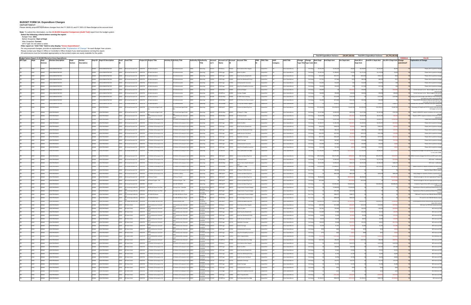# **BUDGET FORM 3A: Expenditure Changes**

DEPARTMENT: \_\_\_\_\_\_ Please identify proposed expenditure changes from the FY 2020-21 and FY 2021-22 Base Budget at the account level.

**Budget System Report 15.30.005 filtered on Gross Expenditures FORMULA FILL IN GFS Type Dept Dept Division Division Description Dept SectionDept ID Description Fund Fund** Title **Title Project ID Project Title Activity ID Activity Title Authority ID Authority AAOAccount Lvl 5 Account Lvl 5 Name Account ID Account Title TRIOTRIO Title AAO Title Change Type Title Change Type Code Start Dept AmtEnd Dept Amt Var Dept Amt Start BY+1 Description Category Section TitleID**MADMINISTRATION | | | 203645 |HOMADMINISTRATION 1:0000 |GFAnnualAccount.Ctrl 1:0026736 |HO.Administration |1 |HO.Administration |1:000 |Operating |50000 |Operating |50000 |Operating | |Unspecified |01 |Gross-Expenditures | GFS HOM 203645 HOMMADMINISTRATION | | | 203645 |HOMADMINISTRATION 1:0000 |GFAnnualAccount.Ctrl 1:0026736 |HO.Administration |1 HO.Administration |1:000 |Operating |1:000 |Operating |1:000 |Operating |1:000 |Operating |1:000 |Operating |1:00 GFS HOM 203645 HOMGFS HOM 203645 HOMMADMINISTRATION | | | 203645 |HOMADMINISTRATION 1:0000 |GFAnnualAccount.Ctrl 1:0026736 |HO.Administration |1 |HO.Administration |1:000 |Operating |1:000 |Operating |1:000 |Operating |1:000 |Operating |1:000 |Operating |1:0 GFS HOM 203645 HOMMADMINISTRATION | | 203645 |HOMADMINISTRATION 1:0000 |GFAnnualAccount.Ctrl 1:0026736 |HO.Administration |1 |HO.Administration |1:000 |Operating |1:000 |Operating |1:000 |Operating |1:000 |Operating |1:000 |Operating |1:000 MADMINISTRATION | | 203645 |HOMADMINISTRATION 1:0000 |GFAnnualAccount.Ctrl 1:0026736 |HO.Administration |1 |HO.Administration |1:000 |Operating |1:000 |Operating |1:000 |Operating |1:000 |Operating |1:000 |Operating |1:000 GFS HOM 203645 HOMMADMINISTRATION | | 20364 HOMADMINISTRATION 1:0000 GFAnnualAccount.Ctrl 1:0026736 HOAdministration |1 HOAdministration |1:0000 |Operating 519120 |Statem internet |Unspecified JD1 Gross-Expenditures 4 On-Going \$16,492 \$16,5 GFS HOM 203645 HOMGFS HOM 203645 HOMMADMINISTRATION | | 203645 HOMADMINISTRATION 1:0000 GFAnnualAccount.Ctrl 1:0026736 HOAdministration |1 HOAdministration |1:000 |Operating |2:0000 |S20001MID |S20000 |Operating |2:0000 |Operating |2:0000 |Operating |2:0000 GFS HOM 203645 HOMM.ADMINISTRATION | | 203645 |HOMADMINISTRATION 1:0000 |GFAnnualAccount.Ctrl 1:0026736 |HO.Administration |1 |HO.Administration |1:000 |Operating |2:0000 |Operating |2:0000 |S2:0000 |Training-Budget | Unspecified JD1 |Gross MADMINISTRATION | | 203645 HOMADMINISTRATION 10000 6F-AnnualAccount.Ctrl 100026736 HO.Administration 1 HO.Administration 10000 Operating IS31068 IS100thDep IS3108 Isr-DPW-StreetCleaning | Unspecified J01 Gross Expenditures GFS HOM 203645 HOMMADMINISTRATION | | 203645 |HOMADMINISTRATION 1:0000 |GFAnnualAccount.Ctrl 1:0026736 |HOAdministration |1 |HOAdministration |1:000 |Operating |1:000 |Operating |S81470 |S81470 |S81470 |GF-GHent\_Svc-Rectur-Assess |Unspecifi GFS HOM 203645 HOMGFS HOM 203645 HOMMADMINISTRATION | | | 203645 |HOMADMINISTRATION 1:0000 |GFAnnualAccount:Ctrl 1:0026736 |HO.Administration |1 HO.Administration |1:000 |Operating ISS1870 |SS1870 |GF-Crly-Hall-Fellows Program | Unspecified JD1 |Gross-Expend GFS HOM 203646 HOM PROGRAMS <sup>203646</sup> HOM PROGRAMS <sup>10000</sup> GF Annual Account Ctrl <sup>10026738</sup> HO Transitional‐Aged Youth 1 HOO Transitional-Aged Youth 10000 Operating 538010 5380CityGP 538010 Community Based Org Srvcs | Unspecified J01 Gross Expenditures 4 On-Going \$11,333,206 \$11,333,206 \$11,333,206 \$12,978,912 \$1,645,706 \$1545,706 \$1545,706 \$1545,706 \$1545,706 \$1545,70 BasBasGFS HOM 203646 HOM PROGRAMS <sup>203646</sup> HOM PROGRAMS <sup>10000</sup> GF Annual Account Ctrl <sup>10026738</sup> HO Transitional‐Aged Youth 1 HOO Transitional-Aged Youth 10000 Operating 581670 581670 GF-Mayor'S Cdbg | Unspecified J01 Gross Expenditures 4 On-Going \$1,417,984 \$2,094,522 \$676,538 \$1,417,984 \$2,165,306 \$747,322 YES Based on MOHCD's request to balance the work order GFS HOM 203646 HOM PROGRAMS <sup>203646</sup> HOM PROGRAMS <sup>10000</sup> GF Annual Account Ctrl <sup>10026739</sup> HO Homelessness Outreach 1 HOO Homelessness Outreach 10000 Operating 581540 5810OthDep 581540 GF‐Mental Health Unspecified J01 Gross Expenditures <sup>4</sup> On‐Going \$3,423,598 \$3,332,236 (\$91,362) \$3,423,598 \$3,415,180 (\$8,418) YES Based on DPH's request to balance all the work orders andd P andd F m Salaries‐Misc‐Regular Unspecified J01 Gross Expenditures 4 On‐Going \$5,758,385 \$5,657,020 (\$101,365) \$5,960,903 \$5,855,973 (\$104,930) YES Please refer to position changes GFS HOM 203646 HOM PROGRAMS <sup>203646</sup> HOM PROGRAMS <sup>10000</sup> GF Annual Account Ctrl <sup>10026740</sup> HO Shelter & Housing for the 1 HO Shelter & Housing for the H 10000 Operating 501010 5010Salary 501010 PermGFS HOM 203646 HOM PROGRAMS <sup>203646</sup> HOM PROGRAMS <sup>10000</sup> GF Annual Account Ctrl <sup>10026740</sup> HO Shelter & Housing for the 1 HO Shelter && Housing for the H10000 Operating 513010 S130Fringe 513010 Retire City Misc | Unspecified J01 Gross Expenditures 4 On‐Going \$1,303,917 \$1,281,350 (\$21,567) \$1,263,501 \$1,241,657 (\$21,844) YES Please refer to position chan GFS HOM 203646 HOM PROGRAMS 203646 HOM PROGRAMS <sup>10000</sup> GF Annual Account Ctrl <sup>10026740</sup> HO Shelter & Housing for the 1 HOO Shelter & R Housing for the H10000 Operating 514010 S130Fringe 514010 Social Security (Oasdi & Hi) Unspecified J01 Gross Expenditures 4 On‐Going \$348,270 \$566,772 \$366,772 \$\$36,505 YES Please refer to position changes GFS HOM 203646 HOM PROGRAMS <sup>203646</sup> HOM PROGRAMS <sup>10000</sup> GF Annual Account Ctrl <sup>10026740</sup> HO Shelter & Housing for the 1 HOO Shelter & & Housing for the H 10000 Operating 514020 5130Fringe 514020 Social Sec‐Medicare(HI Only) Unspecified J01 Gross Expenditures 4 On‐Going \$85,600 \$84,131 (\$1,469) \$88,536 \$87,015 (\$1,521) YES Please refer to position changes & Housing for the H 10000 Operating 515010 5130Fringe 515010 Health Service‐City Match Unspecified J01 Gross Expenditures 4 On‐Going \$241,355 \$237,952 (\$3,403) \$255,379 \$251,780 (\$3,599) YES Please refer to position change GFS HOM 203646 HOM PROGRAMS <sup>203646</sup> HOM PROGRAMS <sup>10000</sup> GF Annual Account Ctrl <sup>10026740</sup> HO Shelter & Housing for the 1 HOO Shelter & GFS HOM 203646 HOM PROGRAMS <sup>203646</sup> HOM PROGRAMS <sup>10000</sup> GF Annual Account Ctrl <sup>10026740</sup> HO Shelter & Housing for the 1 HOO Shelter & & Housing for the H 10000 Operating 515710 5130Fringe 515710 Dependent Coverage | Unspecified J01 Gross Expenditures 4 | On‐Going \$557,937 \$546,187 (\$11,750) \$590,305 \$577,874 (\$12,431) YES Please refer to position changes GFS HOM 203646 HOM PROGRAMS <sup>203646</sup> HOM PROGRAMS <sup>10000</sup> GF Annual Account Ctrl <sup>10026740</sup> HO Shelter & Housing for the 1 HO Shelter && Housing Core of the H10000 Operating 516010 5130Fringe 516010 Dental Coverage | Unspecified J01 Gross Expenditures 4 | On‐Going \$69,014 \$67,697 (\$1,317) \$70,408 \$69,055 (\$1,343) YES Please refer to position changes .<br>Itar & Houring fo GFS HOM 203646 HOM PROGRAMS <sup>203646</sup> HOM PROGRAMS <sup>10000</sup> GF Annual Account Ctrl <sup>10026740</sup> HO Shelter & Housing for the 1 HO& Housing for the H10000 Operating 517010 5130Fringe 517010 Unemployment Insurance Unspecified J01 Gross Expenditures 4 On‐Going \$15,940 \$15,667 (\$273) \$16,484 \$16,202 (\$282) YES Please refer to position changes m Disability Insurance Unspecified J01 Gross Expenditures 4 On‐Going \$17,618 \$17,263 \$18,238 \$17,871 (\$367) YES Please refer to position changes GFS HOM 203646 HOM PROGRAMS <sup>203646</sup> HOM PROGRAMS <sup>10000</sup> GF Annual Account Ctrl <sup>10026740</sup> HO Shelter & Housing for the 1 HO Shelter & Housing for the H 10000 Operating 519120 5130Fringe 519120 Long TermGFS HOM 203646 HOM PROGRAMS <sup>203646</sup> HOM PROGRAMS <sup>10000</sup> GF Annual Account Ctrl <sup>10026740</sup> HO Shelter & Housing for the 1 HOO Shelter & & Housing for the H10000 Operating 527000 5210NPSvcs 527000 Prof-& Specialized Svcs-Bdgt | Unspecified J01 | Gross Expenditures 4 | On-Going \$11,564,460 \$8,886,460 \$8,886,460 \$8,886,460 \$8,886,460 \$9,886,460 \$8,886,460 \$9, & Housing for the H10000 Operating 538010 S380CityGP 538010 Community Based Org Srvcs Unspecified J01 Gross Expenditures 4 On-Going \$93,710,056 \$92,751,995 \$93,710,056 \$93,2710,056 \$93,297,999 \$ (\$412,057) YES Reflect reco GFS HOM 203646 HOM PROGRAMS <sup>203646</sup> HOM PROGRAMS <sup>10000</sup> GF Annual Account Ctrl <sup>10026740</sup> HO Shelter & Housing for the 1 HOO Shelter & GFS HOM 203646 HOM PROGRAMS <sup>203646</sup> HOM PROGRAMS <sup>10000</sup> GF Annual Account Ctrl <sup>10026740</sup> HO Shelter & Housing for the 1 HO Shelter && Housing for the H 10000 Operating 581540 S810OthDep 581540 GF‐Mental Health Unspecified J01 Gross Expenditures 4 On‐Going \$1,791,857 \$1,792,857 \$1,791,857 \$1,717,193 (\$74,664) YES WO recon ‐ reallocation GFS HOM 203646 HOM PROGRAMS <sup>203646</sup> HOM PROGRAMS <sup>10000</sup> GF Annual Account Ctrl <sup>10026740</sup> HO Shelter & Housing for the 1 HO Shelter & Housing for the H 10000 Operating 581550 5810OthDep 581550 GF‐Hcn‐Comm Health Network AAO PROGRAMS <sup>203646</sup> HOM PROGRAMS <sup>10000</sup> GF Annual Account Ctrl <sup>10026740</sup> HO Shelter & Housing for the Shelter && Housing for the H10000 Operating S81670 S8100thDep S81670 GF-Mayor'S-Cdbg | Unspecified J01 Gross Expenditures 4 On-Going \$10,528,589 \$10,088,421 (\$440,168) \$10,528,589 \$10,739,854 \$8,181,265 YES Based on MOHCD's request GFS HOM 203646 HOM1 HO Housing for the <sup>H</sup> <sup>10000</sup> Operating <sup>581690</sup> 5810OthDep <sup>581690</sup> GF‐Mayor'S Office Services Unspecified J01 Gross Expenditures <sup>1</sup> One‐Time \$0 \$85,000 \$85,000 \$0 \$0 \$0 YES Based on Mayor Office's request GFS HOM 203646 HOM PROGRAMS <sup>203646</sup> HOM PROGRAMS <sup>10000</sup> GF Annual Account Ctrl <sup>10026740</sup> HO Shelter & Housing for the 1 HOO Shelter & GFS HOM 203646 HOM PROGRAMS <sup>203646</sup> HOM PROGRAMS <sup>10000</sup> GF Annual Account Ctrl <sup>10026740</sup> HO Shelter & Housing for the 4 HOOShelter Utilities 10000 Operating 538001 53800ilyGP 538010 Community Based Org-Srvs Unspecified J01 Gross Expenditures 4 On-Going \$00 \$603,438 \$603,438 \$603,438 \$603,438 YES Utility Budget for Homeless Shelters transferre GFS HOM 203646 HOMMPROGRAMS | | | 203646 HOMPROGRAMS | 10000 GFAnnualAccountCtrl |10033287 |1XPersonProject |1 |1XPersonProject |1000 |Operating IS38010 |S38010 |CommunityBasedOrgSvrcs | Unspecified |01 |GrossExpenditures |4 | On-Going| \$9, MPROGRAMS | | | 203646 HOMPROGRAMS | 10000 GFAnnualAccountCtrl |10033396 |1KPersonProject-TAY |1 |1KPersonProject-TAY |1000 |Operating IS38010 |S38010 |CommunityBasedOrgSvrss | Unspecified |01 |GrossExpenditures 4 | On-Goi GFS HOM 203646 HOMMPROGRAMS | | | 203646 HOMPROGRAMS | 10000 GFAnnualAccountCtrl |10035945 HOLOSP |1 |HOLOSP SERVICES | 10000 | Operating IS38010 | S28010 | Community Based Ong Study | Unspecified | U11 | Gross Expenditures |4 | On-Going SQ GFS HOM 203646 HOMGFS HOM 203646 HOM PROGRAMS <sup>203646</sup> HOM PROGRAMS <sup>10020</sup> GF Continuing Authority 10030244 HN Whole Person Care Pilot 53 Housing Fund ‐ Subsidies 17702 HN Whole Person 506070 5060ProgPr 506070 Programmatic Projects‐Budget Unspecified J01 Gross Expenditures 1 One‐Time \$0 \$7,699,059 \$7,699,059 \$0 \$0 \$0 YES Expenditures offsets by additional Whole Person Care Pilot CareGFS HOM 203646 HOM PROGRAMS <sup>203646</sup> HOM PROGRAMS <sup>10020</sup> GF Continuing Authority 10030244 HN Whole Person Care Pilot 54 Housing Fund ‐ Admin 17702 HN Whole Person 506070 SO6070 Programmatic Projects-Budget Unspecified J01 Gross Expenditures 1 One-Time \$0 \$431,000 \$431,000 \$0 \$0 \$0 \$0 YES Expenditures offsets by additional Whole Person Care CtrlCaree Pilot GFS HOM 203646 HOM PROGRAMS <sup>203646</sup> HOM PROGRAMS <sup>10020</sup> GF Continuing Authority 10036164 HO 1064‐68 Mission 1 HO 1064‐68 Mission Projec 21292 HO 1064‐68 506070 5060ProgPr 506070 Programmatic Projects‐Budget Unspecified J01 Gross Expenditures 1 One‐Time \$0 \$588,377 \$588,377 \$0 \$0 \$0 \$0 YES FF&E and IT costs for new CtrlMission..<br>54.69 581210 5810OthDep 581210 DTTechnology Infrastructure Unspecified J01 Gross Expenditures 1 One‐Time \$0 \$668,649 \$668,649 \$0 \$0 \$0 \$0 YES DT costs for new GFS HOM 203646 HOM PROGRAMS <sup>203646</sup> HOM PROGRAMS <sup>10020</sup> GF Continuing Authority 10036164 HO 1064‐68 Mission 1 HO 1064‐68 Mission Projec 21292 HO 1064‐68 Ctrlluman GFS HOM 203646 HOMM PROGRAMS Notes the Muman Services Care 10030 GF Human Services Care 10024558 HS HO Human Services Care 11 Human Services Care 17560 HS Human 538010 5380CityGP 538010 Community Based Org Srvcs Unspecified J01 Gross Expenditures 4 On-Going \$20,441,078 \$19,297,334 \$19,143,744 \$20,441,078 \$19,895,074 (\$546,004) YES Correcting some errors from Services CareGFS HOM 203646 HOM PROGRAMS <sup>203646</sup> HOM PROGRAMS <sup>10060</sup> GF Work Order <sup>10026739</sup> HO Homelessness Outreach 1 HO Homelessness Outreach 10002 Interdepartmental‐ 501010 5010Salary 501010 Permm Salaries‐Misc‐Regular Unspecified J01 Gross Expenditures 4 On‐Going \$207,095 \$113,008 (\$94,087) \$214,378 \$116,982 (\$97,396) YES WO recon w/ DPH (WO funded position) andd P andd F OverheadGFS HOM 203646 HOM PROGRAMS <sup>203646</sup> HOM PROGRAMS <sup>10060</sup> GF Work Order <sup>10026739</sup> HO Homelessness Outreach 1 HO Homelessness Outreach 10002 Interdepartmental‐ 513010 5130Fringe 513010 Retire(City Misc Unspecified J01 Gross Expenditures 4 On‐Going \$47,361 \$25,844 (\$21,517) \$45,923 \$25,059 (\$20,864) YES WO andd P andd F Overhead30Fringe GFS HOM 203646 HOM PROGRAMS <sup>203646</sup> HOM PROGRAMS <sup>10060</sup> GF Work Order <sup>10026739</sup> HO Homelessness Outreach 1 HOO Homelessness Outreach 10002 Interdepartmental‐ andd P andd F OverheadGFS HOM 203646 HOM PROGRAMS <sup>203646</sup> HOM PROGRAMS <sup>10060</sup> GF Work Order <sup>10026739</sup> HO Homelessness Outreach 1 HOO Homelessness Outreach 10002 Interdepartmental‐ 514020 5130Fringe 514020 Social Sec‐Medicare(HI Only) Unspecified J01 Gross Expenditures 4 On‐Going \$3,003 \$1,639 (\$1,364) \$3,108 \$1,696 (\$1,412) YES WO andandOverheadd P d F GFS HOM 203646 HOM PROGRAMS <sup>203646</sup> HOM PROGRAMS <sup>10060</sup> GF Work Order <sup>10026739</sup> HO Homelessness Outreach 1 HOO Homelessness Outreach 10002 Interdepartmental‐ 515010 5130Fringe 515010 Health Service‐City Match Unspecified J01 Gross Expenditures 4 On‐Going \$8,423 \$4,639 (\$3,784) \$8,912 \$4,6390 (\$4,003) YES WO andd P andd F OverheadGFS HOM 203646 HOM PROGRAMS <sup>203646</sup> HOM PROGRAMS <sup>10060</sup> GF Work Order <sup>10026739</sup> HO Homelessness Outreach 1 HOO Homelessness Outreach 10002 Interdepartmental‐ 515710 5130Fringe 515710 Dependent Coverage Unspecified J01 Gross Expenditures <sup>4</sup> On‐Going \$20,039 \$9,288 (\$10,751) \$21,201 \$9,827 (\$11,374) YES WOandd P andd F Overhead516010 5130Fringe 516010 Dental Coverage | Unspecified J01 Gross Expenditures 4 On‐Going \$2,436 \$1,181 (\$1,255) \$2,485 \$1,205 (\$1,280) YES WO GFS HOM 203646 HOM PROGRAMS <sup>203646</sup> HOM PROGRAMS <sup>10060</sup> GF Work Order <sup>10026739</sup> HO Homelessness Outreach 1 HO Homelessness Outreach 10002 Interdepartmental‐ andd P andd F OverheadGFS HOM 203646 HOM PROGRAMS <sup>203646</sup> HOM PROGRAMS <sup>10060</sup> GF Work Order <sup>10026739</sup> HO Homelessness Outreach 1 HO Homelessness Outreach 10002 Interdepartmental‐ 517010 5130Fringe 517010 Unemployment Insurance | Unspecified J01 Gross Expenditures 4 On‐Going \$559 \$305 (\$254) \$579 \$316 (\$263) YES WO andandOverheadd P d F GFS HOM 203646 HOM PROGRAMS <sup>203646</sup> HOM PROGRAMS <sup>10060</sup> GF Work Order <sup>10026739</sup> HO Homelessness Outreach 1 HO Homelessness Outreach 10002 Interdepartmental‐ 519120 5130Fringe 519120 Long Termm Disability Insurance Unspecified J01 Gross Expenditures 4 On‐Going \$773 \$442 (\$331) \$800 \$457 (\$343) YES YVO recon w/ DPH andd P andd F OverheadGFS HOM 203646 HOM PROGRAMS <sup>203646</sup> HOM PROGRAMS <sup>10060</sup> GF Work Order <sup>10026739</sup> HO Homelessness Outreach 1 HOO Homelessness Outreach 10002 Interdepartmental‐ 519990 5130Fringe 519990 Other Fringe Benefits Unspecified J01 Gross Expenditures <sup>4</sup> On‐Going (\$1,426) (\$16,426) (\$15,000) (\$1,426) (\$16,426) (\$15,000) YES WOandd P andd F Overhead Specialized Svcs‐Bdgt Unspecified J01 Gross Expenditures <sup>4</sup> On‐Going \$167,302 \$96,503 (\$70,799) \$167,302 \$98,369 (\$68,933) YES WO recon w/ DPH GFS HOM 203646 HOM PROGRAMS <sup>203646</sup> HOM PROGRAMS <sup>10060</sup> GF Work Order <sup>10026739</sup> HO Homelessness Outreach 1 HOO Homelessness Outreach 10002 Interdepartmental‐ 527000 5210NPSvcs 527000 Prof &andd P andd F OverheadGFS HOM 203646 HOM PROGRAMS <sup>203646</sup> HOM PROGRAMS <sup>10060</sup> GF Work Order <sup>10026740</sup> HO Shelter & Housing for the 1 HOO Shelter & & Housing for the H 10002 Interdepartmental-501010 5010Salary 501010 Permm Salaries‐Misc‐Regular Unspecified J01 Gross Expenditures 4 On‐Going \$0 \$123,573 \$123,573 \$0 \$127,919 \$127,919 YES WO recon w/ DPH OverheadGFS HOM 203646 HOM PROGRAMS <sup>203646</sup> HOM PROGRAMS <sup>10060</sup> GF Work Order <sup>10026740</sup> HO Shelter & Housing for the 1 HO Shelter && Housing for the H 10002 Interdepartmental-513010 5130Fringe 513010 Retire(City Misc Unspecified J01 Gross Expenditures 4 On‐Going \$0 \$28,260 \$28,260 \$0 \$27,402 \$27,402 YES WO OverheadGFS HOM 203646 HOM PROGRAMS <sup>203646</sup> HOM PROGRAMS <sup>10060</sup> GF Work Order <sup>10026740</sup> HO Shelter & Housing for the 1 HO Shelter & Housing for the H 10002 Interdepartmental‐ 514010 5130Fringe 514010 Social Security (Oasdi &Overhead514020 S130Fringe 514020 Social Sec‐Medicare(HI Only) Unspecified J01 Gross Expenditures 4 On‐Going \$0 \$1,792 \$1,792 \$1,792 \$1,855 \$1,855 YES WO GFS HOM 203646 HOM PROGRAMS <sup>203646</sup> HOM PROGRAMS <sup>10060</sup> GF Work Order <sup>10026740</sup> HO Shelter & Housing for the 1 HO Shelter & Housing for the H 10002 Interdepartmental‐ OverheadGFS HOM 203646 HOM PROGRAMS <sup>203646</sup> HOM PROGRAMS <sup>10060</sup> GF Work Order <sup>10026740</sup> HO Shelter & Housing for the 1 HOO Shelter & & Housing for the H 10002 Interdepartmental-515010 5130Fringe 515010 Health Service-City Match Unspecified J01 Gross Expenditures 4 On-Going \$0 \$3,784 \$3,784 \$0 \$4,003 \$4,003 YES WO OverheadGFS HOM 203646 HOM PROGRAMS <sup>203646</sup> HOM PROGRAMS <sup>10060</sup> GF Work Order <sup>10026740</sup> HO Shelter & Housing for the 1 HOO Shelter & & Housing for the H 10002 Interdepartmental-515710 5130Fringe 515710 Dependent Coverage | Unspecified J01 Gross Expenditures 4 | On‐Going \$0 \$10,751 \$10,751 \$0 \$11,374 \$11,374 YES WO OverheadGFS HOM 203646 HOM PROGRAMS <sup>203646</sup> HOM PROGRAMS <sup>10060</sup> GF Work Order <sup>10026740</sup> HO Shelter & Housing for the 1 HOO Shelter & & Housing for the H 10002 Interdepartmental-516010 5130Fringe 516010 Dental Coverage | Unspecified J01 Gross Expenditures 4 | On‐Going \$0 \$1,255 \$1,255 \$0 \$1,280 \$1,280 YES WO Overhead517010 5130Fringe 517010 Unemployment Insurance | Unspecified J01 Gross Expenditures 4 | On‐Going \$0 \$334 \$345 \$345 \$345 \$345 \$345 YES WO GFS HOM 203646 HOM PROGRAMS <sup>203646</sup> HOM PROGRAMS <sup>10060</sup> GF Work Order <sup>10026740</sup> HO Shelter & Housing for the 1 HOO Shelter & & Housing for the H 10002 Interdepartmental-Overhead GFS HOM 203646 HOM PROGRAMS <sup>203646</sup> HOM PROGRAMS <sup>10060</sup> GF Work Order <sup>10026740</sup> HO Shelter & Housing for the 1 HO Shelter & Housing for the H 10002 Interdepartmental‐ 519120 5130Fringe 519120 Long Termm Disability Insurance Unspecified J01 Gross Expenditures 4 On‐Going \$0 \$435 \$450 \$450 \$450 \$450 YES WO recon w/ DPH OverheadGFS HOM 203646 HOM PROGRAMS <sup>203646</sup> HOM PROGRAMS <sup>10060</sup> GF Work Order <sup>10026740</sup> HO Shelter & Housing for the 1 HO Shelter & Housing for the H 10002 Interdepartmental‐ 519990 5130Fringe 519990 Other Fringe Benefits Unspecified J01 Gross Expenditures <sup>4</sup> On‐Going \$0 (\$16,426) (\$16,426) \$0 (\$16,919) (\$16,919) YES WOOverhead-<br>Sidneys of the Sure

1 HOO Shelter &

& Housing for the H 10002 Interdepartmental-

|                                              |                   |                            |            |                                          |        |                                 |                           | <b>Total BY Expenditure Variance:</b> |                         |                         | (39,007,268.00) Total BY+1 Expenditure Variance: (41,793,185.00) |                          |                   |                                                                                                          |
|----------------------------------------------|-------------------|----------------------------|------------|------------------------------------------|--------|---------------------------------|---------------------------|---------------------------------------|-------------------------|-------------------------|------------------------------------------------------------------|--------------------------|-------------------|----------------------------------------------------------------------------------------------------------|
| ount Title                                   | <b>TRIO</b><br>ID | <b>TRIO Title</b>          | <b>AAO</b> | <b>AAO Title</b>                         | Change | Change                          | <b>Start Dept</b>         | <b>End Dept Amt</b>                   | Var Dept Amt            | Start BY+1              | End BY+1 Dept Amt                                                | Var BY+1 Dept Amt Change | <b>FORMULA</b>    | <b>FILL IN</b><br><b>Explanation of Change</b>                                                           |
|                                              |                   |                            | Category   |                                          |        | <b>Type Title Type Code Amt</b> |                           |                                       |                         | <b>Dept Amt</b>         |                                                                  |                          | submittted?       |                                                                                                          |
| Salaries-Misc-Regular                        |                   | Inspecified                | 101        | Gross Expenditures                       |        | On-Goi                          | \$5,333,76                | \$5,342,22                            | \$8,46                  | \$5,528,9               | \$5,537,69                                                       | \$8,76                   | YE:               | Please refer to position changes                                                                         |
| e City Misc                                  |                   | <b>Inspecified</b>         | 101        | Gross Expenditures                       |        | On-Goir                         | \$1,207,01                | \$1,208,95                            | \$1,93                  | \$1,171,16              | \$1,173,03                                                       | \$1,87                   | YES               | Please refer to position changes                                                                         |
| I Security (Oasdi & Hi)                      |                   | <b>Jnspecified</b>         | 101        | Gross Expenditures                       |        | On-Goi                          | \$312,04                  | \$312,5                               | \$52                    | \$323,56                | \$324,11                                                         | \$54                     | YES               | Please refer to position changes                                                                         |
| Il Sec-Medicare(HI Only)                     |                   | Inspecified                | 101        | Gross Expenditures                       |        | On-Goi                          | \$77,34                   | \$77,46                               | \$123                   | \$80,16                 | \$80,29                                                          | \$12                     | YES               | Please refer to position changes                                                                         |
| nployment Insurance                          |                   | <b>Jnspecified</b>         | 101        | Gross Expenditures                       |        | On-Goi                          | \$14,40                   | \$14,42                               | \$25                    | \$14,92                 | \$14,95                                                          | \$2                      | YES               | Please refer to position changes                                                                         |
| Term Disability Insurance                    |                   | Jnspecified                | JO1        | Gross Expenditures                       |        | On-Goi                          | \$16,49                   | \$16,52                               | \$33                    | \$17,10                 | \$17,14                                                          | \$3                      | YES               | Please refer to position changes                                                                         |
| head-Budget                                  |                   | Inspecified                | JO1        | Gross Expenditures                       |        | On-Go                           | \$50,00                   |                                       | $($ \$50,0              | \$50,00                 |                                                                  | (\$50,0                  | YES               | Correct last year's error. Move budget to the correct                                                    |
| ing - Budget                                 |                   | Inspecified                | JO1        | Gross Expenditures                       |        | On-Goi                          | \$40,00                   | \$90,00                               | \$50,00                 | \$40,00                 | \$90,00                                                          | \$50,00                  | YES               | account code<br>Correct last year's error. Move budget to the correct                                    |
| <b>W-Street Cleaning</b>                     |                   | Inspecified                | JO1        | Gross Expenditures                       |        | On-Go                           |                           | \$124,25                              | \$124,2                 |                         | \$127,98                                                         | \$127,98                 | YES               | account code<br>Adding work order budget with DPW for street cleaning in                                 |
| R-Client Svc-Recrut-Assess                   |                   | Inspecified                | JO1        | Gross Expenditures                       |        | On-Goi                          | \$41,00                   | \$272,58                              | \$231,58                | \$41,00                 | \$41,00                                                          |                          | YES               | front 440 Turk, HSH's new home office.<br>Retain DHR's HR analyst to help out with HSH for one           |
| ity Hall Fellows Program                     |                   | Jnspecified                | JO1        | Gross Expenditures                       |        | On-Go                           |                           | \$128,97                              | \$128,97                |                         | \$128,97                                                         | \$128,97                 |                   | more year due to short HR staffing.<br>YES Continue one City fellow. Received a one year funding last    |
| munity Based Org Srvcs                       |                   | Inspecified                | JO1        | Gross Expenditures                       |        | On-Goin                         | \$11,333,20               | \$12,978,91                           | \$1,645,70              | \$11,333,20             | \$12,978,91                                                      | \$1,645,70               | YES               | fiscal year.<br>Eliminating 1K People and 1K TAY project code and move                                   |
|                                              |                   |                            |            |                                          |        |                                 |                           | \$2,094,52                            | \$676,53                |                         |                                                                  |                          | YES               | the budget to this line.                                                                                 |
| fayor'S - Cdbg<br>fental Health              |                   | Inspecified                | JO1        | ross Expenditures                        |        | On-Goi                          | \$1,417,98                | \$3,332,23                            |                         | \$1,417,9               | \$2,165,30                                                       | \$747,32                 | YES               | Based on MOHCD's request to balance the work order<br>amour                                              |
| Salaries-Misc-Regular                        |                   | Inspecified<br>Inspecified | 01<br>01   | iross Expenditures<br>ross Expenditures  |        | On-Goi<br>On-Goi                | \$3,423,59<br>\$5,758,38  | \$5,657,0                             | (591, 36)<br>(5101, 3)  | \$3,423,59<br>\$5,960,9 | \$3,415,18<br>\$5,855,97                                         | (S8, 41)<br>(5104, 9)    | YE                | Based on DPH's request to balance all the work orders<br>adjustment:<br>Please refer to position changes |
| e City Misc                                  |                   | Inspecified                |            | ross Expenditures                        |        | On-Goi                          | \$1,303,91                | \$1,281,35                            | (S22, 56)               | \$1,263,50              | \$1,241,65                                                       | (S21,84)                 | YE:               | Please refer to position changes                                                                         |
| I Security (Oasdi & Hi)                      |                   | Inspecified                | JO1        |                                          |        | On-Goi                          | \$354,55                  | \$348,27                              | (S6, 21)                | \$366,77                | \$360,26                                                         |                          | YE                | Please refer to position changes                                                                         |
| I Sec-Medicare(HI Only)                      |                   |                            | JO1        | Gross Expenditures                       |        |                                 | \$85,60                   | \$84,13                               |                         | \$88,53                 | \$87,01                                                          | (S6, 50)                 |                   | Please refer to position changes                                                                         |
| th Service-City Match                        |                   | nspecified<br>Inspecified  | JO1<br>JO1 | Gross Expenditures<br>Gross Expenditures |        | On-Goi<br>On-Goi                | \$241,35                  | \$237,95                              | (S1, 4)<br>(S3, 4)      | \$255,3                 | \$251,78                                                         | (S1, S)<br>(S3, 5)       |                   | Please refer to position changes                                                                         |
| ndent Coverage                               |                   | nspecified                 | JO1        | Gross Expenditures                       |        | On-Goi                          | \$557,93                  | \$546,18                              | (S11,7)                 | \$590,30                | \$577,87                                                         | (S12, 4)                 | YE                | Please refer to position changes                                                                         |
| al Coverage                                  |                   | Inspecified                | JO1        | Gross Expenditures                       |        | On-Goi                          | \$69,01                   | \$67,69                               | (S1,3)                  | \$70,40                 | \$69,06                                                          | (S1,3)                   |                   | Please refer to position changes                                                                         |
| nployment Insurance                          |                   | nspecified                 | JO1        | Gross Expenditures                       |        | On-Goi                          | \$15,94                   | \$15,66                               | (S2)                    | \$16,48                 | \$16,20                                                          | (S28)                    | YE                | Please refer to position changes                                                                         |
| <b>Term Disability Insurance</b>             |                   | nspecified                 | JO1        | Gross Expenditures                       |        | On-Goi                          | \$17,61                   | \$17,26                               | <b>(S3</b>              | \$18,2                  | \$17,87                                                          | <b>(S3</b>               |                   | Please refer to position changes                                                                         |
| & Specialized Svcs-Bdgt                      |                   | Jnspecified                | 101        | <b>Gross Expenditures</b>                |        | On-Goin                         | \$11,564,46               | \$8,886,46                            | (S2, 678, 0)            | \$11,564,46             | \$8,886,46                                                       | (S2, 678, 0              |                   | YES Moving security budget from professional services (5210)                                             |
|                                              |                   |                            |            |                                          |        |                                 |                           |                                       |                         |                         |                                                                  |                          |                   | to non profit (5380).                                                                                    |
| munity Based Org Srvcs                       |                   | <b>Jnspecified</b>         | 101        | Gross Expenditures                       |        | On-Goin                         | \$93,710,05               | \$92,751,99                           | (\$958,0)               | \$93,710,0              | \$93,297,99                                                      | (5412,0)                 |                   | YES Reflect recovery changes from H.S.A and DPH work orders                                              |
| fental Health                                |                   | <b>Jnspecified</b>         | 101        | Gross Expenditures                       |        | On-Goi                          | \$1,791,85                | \$1,692,24                            | (S99, 6)                | \$1,791,85              | \$1,717,19                                                       | (S74, 6)                 | YES               | WO recon - reallocation                                                                                  |
| cn-Comm Health Network                       |                   | <b>Jnspecified</b>         | 101        | Gross Expenditures                       |        | On-Goin                         | \$2,533,58                | \$2,938,10                            | \$404,51                | \$2,533,58              | \$2,938,10                                                       | \$404,51                 | YES               | WO recon - reallocation                                                                                  |
| layor'S - Cdbg                               |                   | Inspecified                | JO1        | ross Expenditures                        |        | On-Goi                          | \$10,528,58               | \$10,088,42                           | (\$440,1)               | \$10,528,58             | \$18,709,85                                                      | \$8,181,26               | YES               | Based on MOHCD's request to balance the work order<br>amoun                                              |
| layor'S Office Services                      |                   | Jnspecified                | 101        | Gross Expenditures                       |        | One-Tim                         |                           | \$85,00                               | \$85,00                 |                         |                                                                  |                          | YES               | Based on Mayor Office's request                                                                          |
| munity Based Org Srvcs                       |                   | Jnspecified                | JO1        | ross Expenditures                        |        | On-Goi                          |                           | \$603,43                              | \$603,43                |                         | \$603,43                                                         | \$603,43                 | YES               | Utility Budget for Homeless Shelters transferred from                                                    |
| munity Based Org Srvcs                       |                   | Jnspecified                | 101        | Gross Expenditures                       |        | On-Goin                         | \$8,258,40                |                                       | (S8, 258, 40)           | \$8,258,40              |                                                                  | (S8, 258, 4)             | YE:               | Moved to budget to the more appropriate Project ID                                                       |
| munity Based Org Srvcs                       |                   | Inspecified                | JO1        | ross Expenditures                        |        | On-Goi                          | \$515,00                  |                                       | $($ \$515,0             | \$515,00                |                                                                  | $($ \$515,0              | YE:               | Moved to budget to the more appropriate Project ID                                                       |
| munity Based Org Srvcs                       |                   | Jnspecified                | 101        | Gross Expenditures                       |        | On-Goin                         |                           | \$10,694,46                           | \$10,694,46             |                         | \$10,694,46                                                      | \$10,694,46              | YES               | Created a Project ID for LOSP service budget to add<br>transparency                                      |
| rammatic Projects-Budget                     |                   | Jnspecified                | 101        | iross Expenditures                       |        | One-Tim                         |                           | \$7,699,05                            | \$7,699,05              |                         |                                                                  |                          | YE:               | Expenditures offsets by additional Whole Person Care                                                     |
| rammatic Projects-Budget                     |                   | Inspecified                | 01         | ross Expenditures                        |        | One-Tin                         |                           | \$431,00                              | \$431,00                |                         |                                                                  |                          | YE:               | Expenditures offsets by additional Whole Person Care<br>revenue                                          |
| rammatic Projects-Budget                     |                   | Inspecified                | 01         | ross Expenditures                        |        | One-Tim                         |                           | \$588,37                              | \$588,37                |                         |                                                                  |                          | YE:               | FF&E and IT costs for new 1064-68 Mission project                                                        |
| echnology Infrastructure                     |                   | Inspecified                | 01         | iross Expenditures                       |        | One-Tin                         |                           | \$668,6                               | \$668,6                 |                         |                                                                  |                          | YE:               | DT costs for new 1064-68 Mission project                                                                 |
| munity Based Org Srvcs                       |                   | Inspecified                | 01         | iross Expenditures                       |        | On-Goin                         | \$20,441,07               | \$19,297,33                           | (S1, 143, 74)           | \$20,441,07             | \$19,895,07                                                      | (\$546,0)                | YES               | Correcting some errors from prior year and reflect the<br>latest CNC revenue                             |
| Salaries-Misc-Regular                        |                   | Inspecified                | 01         | iross Expenditures                       |        | On-Goi                          | \$207,09                  | \$113,0                               | (\$94,0                 | \$214,3                 | \$116,98                                                         | (S97, 3)                 | YE:               | WO recon w/ DPH (WO funded position)                                                                     |
| e City Misc                                  |                   | Inspecified                | 101        | ross Expenditures                        |        | On-Goi                          | \$47,36                   | \$25,84                               | (S21, 51)               | \$45,92                 | \$25,05                                                          | (S20, 80)                | YE:               | WO recon w/ DPH                                                                                          |
| I Security (Oasdi & Hi)                      |                   | Inspecified                | JO1        | Gross Expenditures                       |        | On-Goi                          | \$12,83                   | \$7,00                                | (S5, 83)                | \$13,29                 | \$7,25                                                           | (S6, 0)                  | YE                | WO recon w/ DPH                                                                                          |
| I Sec-Medicare(HI Only)                      |                   | nspecified                 | JO1        | Gross Expenditures                       |        | On-Goi                          | \$3,00                    | \$1,63                                | (S1,3)                  | \$3,10                  | \$1,69                                                           | (S1, 4)                  | YE:               | WO recon w/ DPH                                                                                          |
| th Service-City Match                        |                   | nspecified                 | JO1        | Gross Expenditures                       |        | On-Goi                          | \$8,42                    | \$4,63                                | (S3,7)                  | \$8,91                  | \$4,90                                                           | (S4,0)                   |                   | WO recon w/ DPH                                                                                          |
| ndent Coverage                               |                   | nspecified                 | JO1        | Gross Expenditures                       |        | On-Goin                         | \$20,03                   | \$9,28                                | (510,7                  | \$21,20                 | \$9,82                                                           | (S11,3)                  |                   | WO recon w/ DPH                                                                                          |
| al Coverage                                  |                   | Inspecified                |            | Gross Expenditures                       |        | On-Goin                         | \$2,43                    | \$1,18                                |                         | \$2,48                  | \$1,205                                                          |                          |                   | WO recon w/ DPH                                                                                          |
| nployment Insurance                          |                   | Inspecified                | JO1        | Gross Expenditures                       |        | On-Goin                         | \$559                     | \$305                                 | (S25)                   | \$57                    | \$316                                                            | (S <sub>26</sub> )       | YE:               | WO recon w/ DPH                                                                                          |
| <b>Term Disability Insurance</b>             |                   | Inspecified                | JO1        | Gross Expenditures                       |        | On-Goin                         | \$77                      | \$44                                  | (53)                    | \$80                    | \$45                                                             | (S34)                    | YE                | WO recon w/ DPH                                                                                          |
| r Fringe Benefits                            |                   | Jnspecified                | 101        | Gross Expenditures                       |        | On-Goin                         | (S1, 42)                  | (S16, 42)                             | (S15,0)                 | (S1, 42)                | (S16, 42)                                                        | (S15,00)                 | YES               | WO recon w/ DPH                                                                                          |
| & Specialized Svcs-Bdgt                      |                   | <b>Jnspecified</b>         | 101        | Gross Expenditures                       |        | On-Goi                          | \$167,30                  | \$96,50                               | (\$70,79                | \$167,30                | \$98,36                                                          | (\$68,93)                | YES               | WO recon w/ DPH                                                                                          |
| Salaries-Misc-Regular                        |                   | Inspecified                | 101        | Gross Expenditures                       |        | On-Goi                          | ۹                         | \$123,57                              | \$123,57                |                         | \$127,91                                                         | \$127,91                 | YES               | WO recon w/ DPH                                                                                          |
| e City Misc                                  |                   | <b>Jnspecified</b>         | 101        | Gross Expenditures                       |        | On-Goin                         |                           | \$28,26                               | \$28,26                 |                         | \$27,40                                                          | \$27,40                  | YES               | WO recon w/ DPH                                                                                          |
| I Security (Oasdi & Hi)                      |                   | Inspecified                | 101        | Gross Expenditures                       |        | On-Goi                          |                           | \$7,66                                | \$7,66                  |                         | \$7,93                                                           | \$7,93                   | YES               | WO recon w/ DPH                                                                                          |
| Il Sec-Medicare(HI Only)                     |                   | Jnspecified                | 101        | Gross Expenditures                       |        | On-Goir                         | -SI                       | \$1,792                               | \$1,792                 |                         | \$1,85                                                           | \$1,85                   | YES               | WO recon w/ DPH                                                                                          |
| th Service-City Match                        |                   | Inspecified                | JO1        | Gross Expenditures                       |        | On-Goin                         | $\ddot{\phantom{0}}$      | \$3,784                               | \$3,78                  | $\ddot{ }$              | \$4,00                                                           | \$4,00                   | YES               | WO recon w/ DPH                                                                                          |
| ndent Coverage                               |                   | Jnspecified                | JO1        | Gross Expenditures                       |        | On-Goin                         | \$                        | \$10,75                               | \$10,75                 | $\ddot{ }$              | \$11,37                                                          | \$11,37                  | YES               | WO recon w/ DPH                                                                                          |
| al Coverage                                  |                   | Inspecified                | JO1        | Gross Expenditures                       |        | On-Goin                         | $\ddot{\phantom{0}}$      | \$1,259                               | \$1,25                  | $\ddot{ }$              | \$1,280                                                          | \$1,28                   | YES               | WO recon w/ DPH                                                                                          |
| nployment Insurance                          |                   | Unspecified                | JO1        | Gross Expenditures                       |        | On-Goin                         | \$                        | \$334                                 | \$334                   | $\mathsf{S}$            | \$345                                                            | \$345                    | YES               | WO recon w/ DPH                                                                                          |
| Term Disability Insurance                    |                   | Inspecified                | JO1        | Gross Expenditures                       |        | On-Goin                         | $\ddot{\phantom{0}}$<br>٩ | \$43                                  | \$43                    | $\ddot{ }$<br>×,        | \$45                                                             | \$45                     | YES               | WO recon w/ DPH<br>WO recon w/ DPH                                                                       |
| r Fringe Benefits<br>& Specialized Sycs-Bdgt |                   | Jnspecified<br>Unspecified | JO1<br>J01 | Gross Expenditures<br>Gross Expenditures |        | On-Goi<br>On-Going              | \$1,100,411               | (S16, 42)<br>S969.270                 | (516, 42)<br>(S131.141) | S1.100.411              | (516, 91)<br>\$969,750                                           | (S16, 91)<br>(\$130.661) | YES<br><b>YES</b> | WO recon w/ LIB                                                                                          |
|                                              |                   |                            |            |                                          |        |                                 |                           |                                       |                         |                         |                                                                  |                          |                   |                                                                                                          |

GFS HOM 203646 HOM

PROGRAMS <sup>203646</sup> HOM PROGRAMS <sup>10060</sup> GF Work Order <sup>10026740</sup> HO Shelter & Housing for the

Note: To submit this information, run the 15.30.005 Snapshot Comparison (Audit Trail) report from the budget system.<br>
Select the following criteria before running the report:<br>
Budget Year: 2021<br>
Budget Year: 2021<br>
After Sn

Overhead

&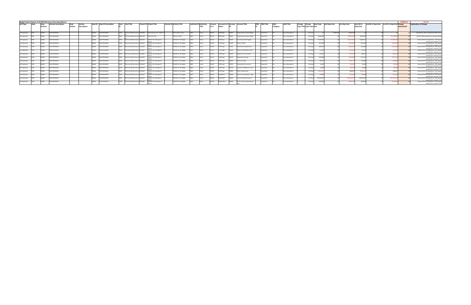|                 | Budget System Report 15.30.005 filtered on Gross Expenditures<br><b>FORMULA</b><br><b>FILL IN</b><br><b>Authority ID Authority</b> |                 |                      |         |                    |       |                             |        |                                        |        |                                                                      |                                   |                     |  |        |         |            |                              |                                |                   |            |                    |               |                                 |                   |                     |              |                 |                   |                          |                         |                                                                              |
|-----------------|------------------------------------------------------------------------------------------------------------------------------------|-----------------|----------------------|---------|--------------------|-------|-----------------------------|--------|----------------------------------------|--------|----------------------------------------------------------------------|-----------------------------------|---------------------|--|--------|---------|------------|------------------------------|--------------------------------|-------------------|------------|--------------------|---------------|---------------------------------|-------------------|---------------------|--------------|-----------------|-------------------|--------------------------|-------------------------|------------------------------------------------------------------------------|
| <b>GFS Type</b> |                                                                                                                                    | Dept            | Division Description |         | <b>Section</b>     |       | Dept ID Dept ID Description |        | <b>Fund Fund</b> Title                 |        | <b>Project ID Project Title</b>                                      | <b>Activity ID Activity Title</b> |                     |  |        | Account |            | <b>Account LvI 5 Account</b> | <b>Account Title</b>           | <b>TRIO Title</b> | <b>AAO</b> | <b>AAO Title</b>   | Change Change |                                 | <b>Start Dept</b> | <b>End Dept Amt</b> | Var Dept Amt | Start BY+1      | End BY+1 Dept Amt | Var BY+1 Dept Amt Change |                         | <b>Explanation of Change</b>                                                 |
|                 |                                                                                                                                    | <b>Division</b> |                      | Section | <b>Description</b> |       |                             |        |                                        |        |                                                                      |                                   |                     |  | Title  | ll.vl 5 | Name       |                              |                                |                   | Category   |                    |               | <b>Type Title Type Code Amt</b> |                   |                     |              | <b>Dept Amt</b> |                   |                          | submittted <sup>3</sup> |                                                                              |
|                 |                                                                                                                                    |                 |                      |         |                    |       |                             |        |                                        |        |                                                                      |                                   |                     |  |        |         |            |                              |                                |                   |            |                    |               |                                 |                   |                     |              |                 |                   |                          |                         |                                                                              |
|                 |                                                                                                                                    |                 |                      |         |                    |       |                             |        |                                        |        |                                                                      |                                   |                     |  |        |         |            |                              |                                |                   |            |                    |               |                                 |                   |                     |              |                 |                   |                          |                         |                                                                              |
| Self Supporting |                                                                                                                                    | 203646          | <b>HOM PROGRAMS</b>  |         |                    | 03646 | <b>HOM PROGRAMS</b>         |        |                                        |        | 12920 SR Human Welfare-Grants 10034969 State Homeless Aid - HEAP 2.0 |                                   | SAFE and Nav Center |  | Grants | 506070  | 5060ProgPr | 506070                       | Programmatic Projects-Budget   | Unspecified       |            | Gross Expenditures |               | One-Time                        |                   | \$2,963,638         | \$2,963,638  |                 |                   |                          |                         | Expenditures offset by additional HHAP revenue                               |
| Self Supporting |                                                                                                                                    | 203646          | HOM PROGRAMS         |         |                    | 03646 | <b>HOM PROGRAMS</b>         |        | SR Human Welfare-Grants 10035544       |        | HOM FY21 CESH                                                        | HOM FY21 CESH                     |                     |  | Grants | 506070  | 5060ProgPr | 506070                       | Programmatic Projects-Budget   | Unspecified       |            | Gross Expenditures |               | On-Going                        | \$3,000,000       |                     | (\$3,000.00  | \$3,000,000     |                   | (\$3,000.00              |                         | Remove CESH expenditures as the grand ended                                  |
| Self Supporting |                                                                                                                                    | 203646          | HOM PROGRAMS         |         |                    | 03646 | <b>HOM PROGRAMS</b>         |        | 12960 SR Human Welfare-Grants 10034647 |        | HOM20 CoC AO Budget for                                              |                                   | HOM20 CoC AO Budget |  | Grants | 501010  | 5010Salary | 501010                       | Perm Salaries-Misc-Regular     | Unspecified       |            | Gross Expenditures |               | On-Going                        | \$1,627.924       |                     | (\$1,627,92  | \$1,685.17      |                   | (51,685,17)              |                         | Remove HUD CoC expenditures. Will request<br>appropriation authority in fall |
| Self Supporting |                                                                                                                                    | 203646          | HOM PROGRAMS         |         |                    | 3646  | <b>HOM PROGRAMS</b>         |        | SR Human Welfare-Grants 10034647       |        | HOM20 CoC AO Budget for                                              |                                   | HOM20 CoC AO Budget |  | Grants | 513010  | 5130Fringe | 513010                       | Retire City Misc               | Unspecified       |            | Gross Expenditures |               | On-Going                        | S372.930          |                     | - 153723     | 5361.6          |                   | <b>IS361.65</b>          |                         | Remove HUD CoC expenditures. Will request<br>appropriation authority in fall |
| Self Supporting |                                                                                                                                    | 203646          | HOM PROGRAMS         |         |                    | 3646  | <b>HOM PROGRAMS</b>         |        | SR Human Welfare-Grants 10034647       |        | HOM20 CoC AO Budget for                                              |                                   | HOM20 CoC AO Budget |  | Grants | 514010  | 5130Fringe | 514010                       | Social Security (Oasdi & Hi)   | Unspecified       |            | Gross Expenditures |               | On-Goin                         | \$100.93          |                     |              |                 |                   | - IS104.41               |                         | Remove HUD CoC expenditures. Will request<br>appropriation authority in fall |
| Self Supporting |                                                                                                                                    | <b>NAGO 1</b>   | HOM PROGRAMS         |         |                    | 3646  | <b>HOM PROGRAMS</b>         |        | SR Human Welfare-Grants 10034647       |        | HOM20 CoC AO Budget for                                              |                                   | HOM20 CoC AO Budget |  | Grants | 514020  | 5130Fringe | 514020                       | Social Sec-Medicare(HI Only)   | Jnspecified       |            | Gross Expenditures |               | On-Goin                         |                   |                     |              |                 |                   |                          |                         | Remove HUD CoC expenditures. Will request<br>appropriation authority in fall |
| Self Supporting |                                                                                                                                    | 203646          | <b>HOM PROGRAMS</b>  |         |                    | 03646 | <b>HOM PROGRAMS</b>         |        | SR Human Welfare-Grants 10034647       |        | HOM20 CoC AO Budget for                                              |                                   | HOM20 CoC AO Budget |  | Grants | 515010  | 5130Fringe | 515010                       | Health Service-City Match      | Jnspecified       |            | Gross Expenditures |               | On-Going                        | \$75,815          |                     |              | sen o           |                   | <b>(S80.22)</b>          |                         | Remove HUD CoC expenditures. Will request<br>appropriation authority in fall |
| Self Supporting |                                                                                                                                    | 203646          | <b>HOM PROGRAMS</b>  |         |                    | 3646  | <b>HOM PROGRAMS</b>         |        | SR Human Welfare-Grants 10034647       |        | HOM20 CoC AO Budget for                                              |                                   | HOM20 CoC AO Budget |  | Grants | 515710  | 5130Fringe |                              | Dependent Coverage             | Unspecified       |            | Gross Expenditures |               | On-Going                        | \$165,888         |                     | (\$165,8)    |                 |                   | (S175.5)                 |                         | Remove HUD CoC expenditures. Will request<br>appropriation authority in fall |
| Self Supporting |                                                                                                                                    | 203646          | <b>HOM PROGRAMS</b>  |         |                    | 03646 | <b>HOM PROGRAMS</b>         |        | 12960 SR Human Welfare-Grants 10034647 |        | HOM20 CoC AO Budget for                                              |                                   | HOM20 CoC AO Budget |  | Grants | 516010  | 5130Fringe | 516010                       | Dental Coverage                | Unspecified       |            | Gross Expenditures |               | On-Going                        | \$20,573          |                     |              |                 |                   | (\$20.98)                |                         | Remove HUD CoC expenditures. Will request<br>appropriation authority in fall |
| Self Supporting |                                                                                                                                    | 203646          | <b>HOM PROGRAMS</b>  |         |                    | 03646 | <b>HOM PROGRAMS</b>         |        | 12960 SR Human Welfare-Grants 10034647 |        | HOM20 CoC AO Budget for                                              |                                   | HOM20 CoC AO Budget |  | Grants | 517010  | 5130Fringe | 517010                       | nemployment Insurance          | Unspecified       |            | Gross Expenditures |               | On-Going                        | \$4,395           |                     | - 154.39     |                 |                   |                          |                         | Remove HUD CoC expenditures. Will request<br>appropriation authority in fall |
| Self Supporting |                                                                                                                                    | 203646          | <b>IOM PROGRAMS</b>  |         |                    | 3646. | HOM PROGRAMS                |        | SR Human Welfare-Grants 10034647       |        | HOM20 CoC AO Budget for                                              |                                   | HOM20 CoC AO Budget |  | Grants | 519120  | 5130Fringe | 19120.                       | Long Term Disability Insurance | Jnspecified       |            | Gross Expenditures |               | On-Goin                         | - 56.366          |                     |              |                 |                   |                          |                         | Remove HUD CoC expenditures. Will request<br>appropriation authority in fall |
| Self Supporting |                                                                                                                                    |                 | OM PROGRAMS          |         |                    |       | HOM PROGRAMS                |        | SR Human Welfare-Grants                | 134647 | HOM20 CoC AO Budget for                                              |                                   | HOM20 CoC AO Budget |  | Grants | 519990  | 5130Fringe | 19990                        | ther Fringe Benefits           | Inspecified       |            | Gross Expenditures |               | On-Goin                         |                   |                     | \$180,441    |                 |                   | \$180.44                 |                         | Remove HUD CoC expenditures. Will request<br>appropriation authority in fall |
| Self Supporting |                                                                                                                                    | 203646          | <b>IOM PROGRAMS</b>  |         |                    | 3646  | HOM PROGRAMS                |        | SR Human Welfare-Grants 10034647       |        | HOM20 CoC AO Budget for                                              |                                   | HOM20 CoC AO Budget |  | Grants | 535000  | 5210NPSvcs | 535000                       | ther Current Expenses - Bdgt   | Inspecified       |            | Gross Expenditures |               | On-Goin                         | S75 OOC           |                     |              |                 |                   |                          |                         | Remove HUD CoC expenditures. Will request<br>appropriation authority in fall |
| Self Supporting |                                                                                                                                    | 13646           | <b>IOM PROGRAMS</b>  |         |                    | 3646  | <b>HOM PROGRAMS</b>         |        | SR Human Welfare-Grants 10034647       |        | HOM20 CoC AO Budget for                                              |                                   | HOM20 CoC AO Budget |  | Grants | 538010  | 5380CityGP |                              | ommunity Based Org Srvcs       | Unspecified       |            | Gross Expenditures |               | On-Going                        | \$45,944.20       |                     | (\$45,944,2  | \$45,944.2      |                   | (\$45,944,2)             |                         | Remove HUD CoC expenditures. Will request<br>appropriation authority in fall |
| Self Supporting |                                                                                                                                    | 203646          | HOM PROGRAMS         |         |                    | 13646 | <b>HOM PROGRAMS</b>         | 12960. | SR Human Welfare-Grants 10034647       |        | HOM20 CoC AO Budget for                                              |                                   | HOM20 CoC AO Budget |  | Grants | 581550  | 58100thDep |                              | F-Hcn-Comm Health Network      | Jnspecified       |            | Gross Expenditures |               | On-Going                        | \$198,549         |                     | (\$198,5)    | \$198,549       |                   | <b>IS198.54</b>          |                         | Remove HUD CoC expenditures. Will request<br>appropriation authority in fall |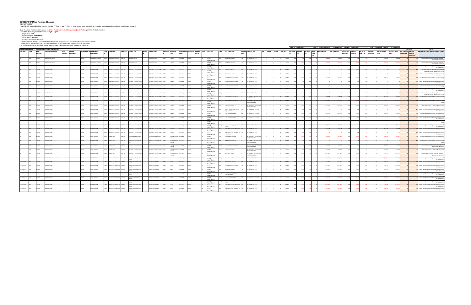**BUDGET FORM 3A: Position Changes**<br>DEPARTMENT: \_\_\_\_\_\_\_\_\_<br>Please identify proposed position changes from the FY 2020-21 and FY 2021-22 Base Budget at the account level (reflecting both salary and discretionary special class

Note: To submit this information, run the 15.30.004 Position Snapshot Comparison (Audit Trail) report from the budget system.<br>
Belect the following criteria before running the report:<br>
Budget I'dear 2021<br>
Budget I'dear Sna

|                 |        |                                                        |         |                    |        |                          |                            |          |                            |                                   |                         |          |                                 |                       |        |                                   |                                           |  |       | <b>Total BY FTE Variance:</b> |                | Total BY Amount Variance: |               | 1.684.845.00 | Total BY+1 FTE Variance:           |          |                 | Total BY+1 Amount Variance: (1,744,099.00      |          |                   |                                                       |
|-----------------|--------|--------------------------------------------------------|---------|--------------------|--------|--------------------------|----------------------------|----------|----------------------------|-----------------------------------|-------------------------|----------|---------------------------------|-----------------------|--------|-----------------------------------|-------------------------------------------|--|-------|-------------------------------|----------------|---------------------------|---------------|--------------|------------------------------------|----------|-----------------|------------------------------------------------|----------|-------------------|-------------------------------------------------------|
|                 |        | zet System Report 15.30.004 filtered on Gross Expendit |         |                    |        |                          |                            |          |                            |                                   |                         |          |                                 |                       |        |                                   |                                           |  |       |                               |                |                           |               |              |                                    |          |                 |                                                |          |                   |                                                       |
|                 |        | ion Description                                        | Dept    |                    |        |                          |                            |          |                            | Activity<br><b>Activity Title</b> | Authority               |          | Account Lvl 5 Account ID Agency |                       |        | <b>Job Class Title</b>            | <b>Emp Org Emp Org Title</b>              |  |       | <b>Start Dept</b> End Dept    | Var Dept Start | <b>End Dept Amt</b>       | Var Dept Amt  |              | Start BY+1 End BY+1                | Var BY+1 | Start BY+1      | End BY+1 Dept Var BY+1 Dept FTE Changes Amount |          |                   | planation of FTE and/or Amount Chang                  |
|                 |        |                                                        | Section | <b>Description</b> |        | Description              |                            |          |                            |                                   |                         |          | Lise ID                         |                       |        |                                   |                                           |  |       | ETF                           |                | Dept<br>Amt               |               |              | <b>Dept FTE</b><br><b>Dept FTE</b> | Dept FTE | <b>Dept Amt</b> |                                                |          | ubmitted? Changes |                                                       |
|                 |        |                                                        |         |                    |        |                          |                            |          |                            |                                   |                         |          |                                 |                       |        |                                   |                                           |  |       |                               |                |                           |               |              |                                    |          |                 |                                                |          | Submitted?        |                                                       |
|                 |        |                                                        |         |                    |        |                          |                            |          |                            |                                   |                         |          |                                 |                       |        |                                   |                                           |  |       |                               |                |                           |               |              |                                    |          |                 |                                                |          |                   |                                                       |
|                 |        |                                                        |         |                    |        |                          |                            |          |                            |                                   |                         |          |                                 |                       |        |                                   | - LOCAL 790, SEIU                         |  |       |                               |                |                           |               |              |                                    |          |                 |                                                |          |                   |                                                       |
|                 |        |                                                        |         |                    |        |                          |                            |          |                            |                                   |                         |          |                                 |                       |        |                                   |                                           |  |       |                               |                |                           |               |              |                                    |          |                 |                                                |          |                   |                                                       |
|                 |        | <b>HOM ADMINISTRATI</b>                                |         |                    |        | <b>DM ADMINISTRATION</b> | F Annual Account Ctrl      | 10026736 | O Administration           |                                   |                         |          |                                 |                       |        | agement Assistan                  | 0 - LOCAL 790, SEIU                       |  |       |                               |                |                           |               |              |                                    |          |                 |                                                |          |                   |                                                       |
|                 |        |                                                        |         |                    |        |                          |                            |          |                            |                                   |                         |          |                                 | xpenditures           |        |                                   |                                           |  |       |                               |                |                           |               |              |                                    |          |                 |                                                |          |                   |                                                       |
|                 |        |                                                        |         |                    |        | M PROGRAM:               | innual Account C           |          | Shelter & Housing for      | Shelter & Housing for the         |                         |          |                                 | Gross                 |        | or Account Cle                    | - LOCAL 790, SEIU                         |  |       |                               |                |                           |               |              |                                    |          |                 |                                                |          |                   |                                                       |
|                 |        |                                                        |         |                    |        |                          |                            |          |                            |                                   |                         |          |                                 | ixpenditures          |        |                                   |                                           |  |       |                               |                |                           |               |              |                                    |          |                 |                                                |          |                   |                                                       |
|                 |        | M PROGRAI                                              |         |                    |        | <b>M PROGRAM</b>         | innual Account C           |          | Shelter & Housing for      | helter & Housing for the          |                         |          |                                 | Gross                 |        | Account Cle                       | -LOCAL 790, SEIU                          |  |       |                               |                |                           |               |              |                                    |          |                 |                                                |          |                   |                                                       |
|                 |        |                                                        |         |                    |        |                          |                            |          |                            |                                   |                         |          |                                 | ixpenditures          |        |                                   |                                           |  |       |                               |                |                           |               |              |                                    |          |                 |                                                |          |                   |                                                       |
|                 |        | A PROGRA                                               |         |                    |        | <b>IM PROGRAM</b>        |                            |          | Shelter & Housing for      | helter & Housing for the          |                         |          |                                 | Gross                 |        |                                   | - LOCAL 790, SEIU                         |  |       |                               |                |                           |               |              |                                    |          |                 |                                                |          |                   |                                                       |
|                 |        |                                                        |         |                    |        |                          |                            |          |                            |                                   |                         |          |                                 | Expenditures          |        |                                   |                                           |  |       |                               |                |                           |               |              |                                    |          |                 |                                                |          |                   |                                                       |
|                 |        | OM PROGRAM                                             |         |                    |        | OM PROGRAMS              | <b>Annual Account Ctrl</b> | 10026740 | O Shelter & Housing for th | O Shelter & Housing for the       |                         |          |                                 | Gross                 |        | nior Administrative Analy         | 0 - LOCAL 790, SEIU                       |  |       |                               |                |                           |               |              |                                    |          |                 |                                                |          |                   |                                                       |
|                 |        |                                                        |         |                    |        |                          |                            |          |                            |                                   |                         |          |                                 | Expenditures          |        |                                   |                                           |  |       |                               |                |                           |               |              |                                    |          |                 |                                                |          |                   |                                                       |
|                 |        | M PROGRAM                                              |         |                    |        | OM PROGRAM:              | Annual Account Ctrl        |          | O Shelter & Housing for th | Shelter & Housing for the         |                         |          |                                 | Gross                 |        | r Administrative Anal             | 0 - LOCAL 790, SEIU                       |  |       |                               |                |                           |               |              |                                    |          |                 |                                                |          |                   |                                                       |
|                 |        |                                                        |         |                    |        |                          |                            |          |                            |                                   |                         |          |                                 | <b>Expenditures</b>   |        |                                   |                                           |  |       |                               |                |                           |               |              |                                    |          |                 |                                                |          |                   | (Off-Budget status).                                  |
|                 |        |                                                        |         |                    |        | M PROGRAM:               | innual Account C           |          | Shelter & Housing for      | Shelter & Housing for the         |                         |          |                                 | Gross                 |        |                                   | - LOCAL 790, SEIU                         |  |       |                               |                |                           |               |              |                                    |          |                 |                                                |          |                   |                                                       |
|                 |        |                                                        |         |                    |        |                          |                            |          |                            |                                   |                         |          |                                 | Expenditures          |        |                                   |                                           |  |       |                               |                |                           |               |              |                                    |          |                 |                                                |          |                   |                                                       |
|                 |        | A PROGRA                                               |         |                    |        | OM PROGRAM               | Annual Account C           |          | Shelter & Housing for      | Shelter & Housing for the         |                         |          |                                 | Gross                 |        |                                   | - LOCAL 790, SEIU                         |  |       |                               |                |                           |               |              |                                    |          |                 |                                                |          |                   |                                                       |
|                 |        |                                                        |         |                    |        |                          |                            |          |                            |                                   |                         |          |                                 | Expenditures          |        |                                   |                                           |  |       |                               |                |                           |               |              |                                    |          |                 |                                                |          |                   | (Off-Budget status                                    |
|                 |        | M PROGRAM                                              |         |                    |        | <b>DM PROGRAMS</b>       | Annual Account Ct          |          | O Shelter & Housing for th | O Shelter & Housing for the       |                         |          |                                 | Gross                 |        | nistrative Analys                 | 0 - LOCAL 790, SEIU                       |  |       |                               |                |                           |               |              |                                    |          |                 |                                                |          |                   |                                                       |
|                 |        |                                                        |         |                    |        |                          |                            |          |                            |                                   |                         |          |                                 | Expenditures          |        |                                   |                                           |  |       |                               |                |                           |               |              |                                    |          |                 |                                                |          |                   | realignment to meet expanding role & duti             |
|                 |        | M PROGRAI                                              |         |                    |        | OM PROGRAM               | Annual Account Ct          |          | O Shelter & Housing for th | O Shelter & Housing for the       |                         |          |                                 | Gross                 |        | enior Administrative Analy        | 21 - LOCAL 21, PROFESSIC                  |  |       |                               |                |                           |               |              |                                    |          |                 |                                                |          |                   |                                                       |
|                 |        |                                                        |         |                    |        |                          |                            |          |                            |                                   |                         |          |                                 | Expenditures          |        |                                   | WD TECHNICAL ENG                          |  |       |                               |                |                           |               |              |                                    |          |                 |                                                |          |                   |                                                       |
|                 |        | OM PROGRAM                                             |         |                    |        | M PROGRAMS               | Annual Account Ctrl        |          | Shelter & Housing for th   | Shelter & Housing for the         | anities                 |          |                                 |                       |        | nior Administrative Anal          | 1 - LOCAL 21, PROFESSIC                   |  |       |                               |                |                           |               |              |                                    |          |                 |                                                |          |                   | osition Status updated to reflect appropriate funding |
|                 |        |                                                        |         |                    |        |                          |                            |          |                            |                                   |                         |          |                                 | Gross                 |        |                                   | IND TECHNICAL ENG                         |  |       |                               |                |                           |               |              |                                    |          |                 |                                                |          |                   |                                                       |
|                 |        |                                                        |         |                    |        |                          |                            |          |                            |                                   |                         |          |                                 | Expenditures          |        |                                   |                                           |  |       |                               |                |                           |               |              |                                    |          |                 |                                                |          |                   |                                                       |
|                 |        | M PROGRAM                                              |         |                    | 03646  | <b>DM PROGRAM</b>        | <b>Inual Account</b>       |          | Shelter & Housing for th   | 3 Shelter & Housing for the       | parating                |          |                                 | Gross                 | 119 (  | lealth Care Analys                | -LOCAL 21, PROFESS<br>ND TECHNICAL ENG    |  |       |                               |                |                           |               |              |                                    |          |                 |                                                |          |                   | sition Reassignment to reflect progamttic char        |
|                 |        |                                                        |         |                    |        |                          |                            |          |                            |                                   |                         |          |                                 | Expenditures          |        |                                   |                                           |  |       |                               |                |                           |               |              |                                    |          |                 |                                                |          |                   |                                                       |
|                 |        | M PROGRA                                               |         |                    | 03646  | <b>DM PROGRAM</b>        | innual Accoun              |          | helter & Housing for th    | Shelter & Housing for the         | rating                  |          |                                 | Gross                 |        | luman Services Agency Senio       | 5 - LOCAL 535, SEIU - L5:                 |  |       |                               |                |                           |               |              |                                    |          |                 |                                                |          |                   |                                                       |
|                 |        |                                                        |         |                    |        |                          |                            |          |                            |                                   |                         |          |                                 | Expenditures          |        | igibility Worker                  |                                           |  |       |                               |                |                           |               |              |                                    |          |                 |                                                |          |                   | Off-Budget s                                          |
|                 |        |                                                        |         |                    | 13646  | <b>DM PROGRAM</b>        | nnual Account              |          | helter & Housing for th    | Shelter & Housing for the         | rating                  |          |                                 | Gross                 |        | rogram Support Analyst            | - LOCAL 535, SEIU - L53                   |  |       |                               |                |                           |               |              |                                    |          |                 |                                                |          |                   |                                                       |
|                 |        |                                                        |         |                    |        |                          |                            |          |                            |                                   |                         |          |                                 | <i>spenditures</i>    |        |                                   |                                           |  |       |                               |                |                           |               |              |                                    |          |                 |                                                |          |                   |                                                       |
|                 |        |                                                        |         |                    |        | <b>IM PROGRAM</b>        |                            |          | telter & Housing for       | helter & Housing for              |                         |          |                                 | Gross                 |        | gram Support Analy                | - LOCAL 535, SEIU - L5:                   |  |       |                               |                |                           |               |              |                                    |          |                 |                                                |          |                   |                                                       |
|                 |        |                                                        |         |                    |        |                          |                            |          |                            |                                   |                         |          |                                 | Expenditures          |        |                                   |                                           |  |       |                               |                |                           |               |              |                                    |          |                 |                                                |          |                   | (Off-Budget stat                                      |
|                 |        |                                                        |         |                    |        | <b>DM PROGRAM</b>        |                            |          | helter & Housing for       | helter & Housing for th           |                         |          |                                 | Gross                 |        | am Support Analy                  | LOCAL 535, SEIU - LS:                     |  |       |                               |                |                           |               |              |                                    |          |                 |                                                |          |                   |                                                       |
|                 |        |                                                        |         |                    |        |                          |                            |          |                            |                                   |                         |          |                                 | <b>Expenditures</b>   |        |                                   |                                           |  |       |                               |                |                           |               |              |                                    |          |                 |                                                |          |                   |                                                       |
|                 |        | M PROGRAI                                              |         |                    |        | OM PROGRAM               | Annual Account C           |          | Shelter & Housing for th   | Shelter & Housing for the         |                         |          |                                 | Gross                 |        | man Services Agency Socia         | - LOCAL 790, SEIU                         |  |       |                               |                |                           |               |              |                                    |          |                 | 099.1                                          |          |                   |                                                       |
|                 |        |                                                        |         |                    |        |                          |                            |          |                            |                                   |                         |          |                                 | xpenditures           |        |                                   |                                           |  |       |                               |                |                           |               |              |                                    |          |                 |                                                |          |                   |                                                       |
|                 |        | M PROGRA                                               |         |                    |        | OM PROGRAM:              | Annual Account             |          | Shelter & Housing for th   | Shelter & Housing for the         | rating                  |          |                                 | Gross                 |        | ior Behavioral Health Cl          | - LOCAL 790, SEIU                         |  |       |                               |                |                           |               |              |                                    |          |                 |                                                |          |                   |                                                       |
|                 |        |                                                        |         |                    |        |                          |                            |          |                            |                                   |                         |          |                                 | <b>Expenditures</b>   |        |                                   |                                           |  |       |                               |                |                           |               |              |                                    |          |                 |                                                |          |                   |                                                       |
|                 |        |                                                        |         |                    |        | <b>DM PROGRAM</b>        | <b>Inual Accour</b>        |          | helter & Housing for t     | helter & Housing for the          | rating                  |          |                                 | Gross                 |        | blic Service Aide - Assistan      | - LOCAL 790, SEIU                         |  |       |                               |                |                           |               |              |                                    |          |                 |                                                |          |                   |                                                       |
|                 |        |                                                        |         |                    |        |                          |                            |          |                            |                                   |                         |          |                                 | Expenditures          |        | dessionals                        |                                           |  |       |                               |                |                           |               |              |                                    |          |                 |                                                |          |                   |                                                       |
|                 |        | M PROGR                                                |         |                    |        | OM PROGRAM               | Work Orde                  |          |                            |                                   |                         |          |                                 |                       |        |                                   | I - LOCAL 21, PROFES                      |  |       |                               |                |                           |               |              |                                    |          |                 |                                                |          |                   |                                                       |
|                 |        |                                                        |         |                    |        |                          |                            |          |                            |                                   | Overhead                |          |                                 | Gross<br>Expenditures |        |                                   | IND TECHNICAL ENG                         |  |       |                               |                |                           |               |              |                                    |          |                 |                                                |          |                   |                                                       |
|                 |        |                                                        |         |                    |        |                          |                            |          |                            |                                   |                         |          |                                 |                       |        |                                   |                                           |  |       |                               |                |                           |               |              |                                    |          |                 |                                                |          |                   |                                                       |
|                 |        |                                                        |         |                    |        | OM PROGRAM               | F Work Order               |          |                            |                                   | werhead                 |          |                                 | Gross                 |        |                                   | I - LOCAL 21, PROFE!<br>AND TECHNICAL ENG |  |       |                               |                |                           |               |              |                                    |          |                 |                                                |          |                   |                                                       |
|                 |        |                                                        |         |                    |        |                          |                            |          |                            |                                   |                         |          |                                 | Expenditures          |        |                                   |                                           |  |       |                               |                |                           |               |              |                                    |          |                 |                                                |          |                   |                                                       |
|                 |        | OM PROGRAJ                                             |         |                    |        | OM PROGRAM               | F Work Order               |          | Shelter & Housing for the  | Shelter & Housing for the         |                         |          |                                 | Gross                 |        | nior Administrative Anal          | I - LOCAL 21, PROFESSI                    |  |       |                               |                |                           |               |              |                                    |          |                 |                                                |          |                   |                                                       |
|                 |        |                                                        |         |                    |        |                          |                            |          |                            |                                   | verhead                 |          |                                 | Expenditures          |        |                                   | AND TECHNICAL ENG                         |  |       |                               |                |                           |               |              |                                    |          |                 |                                                |          |                   |                                                       |
|                 | 03646  | OM PROGRAMS                                            |         |                    |        | <b>OM PROGRAMS</b>       | GF Work Order              |          | Shelter & Housing for the  | O Shelter & Housing for the       | rdepartm                |          |                                 | Gross                 | 119 C  | lealth Care Analys                | 1 - LOCAL 21, PROFESSI                    |  |       |                               |                |                           | \$107,446     |              |                                    |          |                 |                                                |          |                   |                                                       |
|                 |        |                                                        |         |                    |        |                          |                            |          |                            |                                   | verhead                 |          |                                 | Expenditures          |        |                                   | AND TECHNICAL ENG                         |  |       |                               |                |                           |               |              |                                    |          |                 |                                                |          |                   |                                                       |
|                 | 03646  | OM PROGRAM                                             |         |                    | 203646 | OM PROGRAMS              |                            | 0026740  | O Shelter & Housing for th | Shelter & Housing for the         |                         |          |                                 |                       | 2119 C | lealth Care Analys                | 21 - LOCAL 21, PROFESSIC                  |  |       |                               |                |                           |               |              |                                    |          |                 |                                                |          |                   |                                                       |
|                 |        |                                                        |         |                    |        |                          | F Work Order               |          |                            |                                   | erdepartment<br>verhead | 3Salary  |                                 | Gross                 |        |                                   | AND TECHNICAL ENG                         |  |       |                               |                |                           | (5107.4       |              |                                    |          |                 |                                                |          |                   |                                                       |
|                 |        |                                                        |         |                    |        |                          |                            |          |                            |                                   |                         |          |                                 | Expenditures          |        |                                   |                                           |  |       |                               |                |                           |               |              |                                    |          |                 |                                                |          |                   |                                                       |
| Self Supporting | 103646 | OM PROGRAMS                                            |         |                    | 203646 | <b>OM PROGRAMS</b>       | Human Welfare-Gra          |          | HOM20 CoC AO Budget fo     | M20 CoC AO Budget                 |                         | 10Salary |                                 | Gross                 |        | enior Account Clerk               | 90 - LOCAL 790, SEIU                      |  |       |                               |                |                           | (S81.10)      |              |                                    |          |                 | <b>IS83.9</b>                                  |          |                   |                                                       |
|                 |        |                                                        |         |                    |        |                          |                            |          | IID Gr                     |                                   |                         |          |                                 | Expenditures          |        |                                   |                                           |  |       |                               |                |                           |               |              |                                    |          |                 |                                                |          |                   |                                                       |
| elf Supporting  | 03646  | OM PROGRAM                                             |         |                    | 203646 | <b>OM PROGRAMS</b>       | R Human Welfare-Gr         |          | HOM20 CoC AO Budget fo     | OM20 CoC AO Budget                |                         | 10Salary |                                 | Gross                 |        | incipal Account Clerk             | 0 - LOCAL 790, SEIU                       |  | HOM01 |                               |                |                           | (\$91,65)     | (\$91.65     |                                    |          |                 | (\$94,88)                                      | (\$94.8) |                   |                                                       |
|                 |        |                                                        |         |                    |        |                          |                            |          | IID Gr                     |                                   |                         |          |                                 | Expenditures          |        |                                   |                                           |  |       |                               |                |                           |               |              |                                    |          |                 |                                                |          |                   |                                                       |
| elf Supporting  |        |                                                        |         |                    | 13646  | M PROGRAMS               | aman Welfar                |          | HOM20 CoC AO Budget fr     | M20 CoC AO Budget                 |                         |          |                                 | Gross                 |        |                                   | - LOCAL 790, SEIU                         |  |       |                               |                |                           | (5160)        |              |                                    |          |                 | (\$166.3                                       | (\$166.  |                   |                                                       |
|                 |        |                                                        |         |                    |        |                          |                            |          | <b>IUD Gr</b>              |                                   |                         |          |                                 | Expenditures          |        |                                   |                                           |  |       |                               |                |                           |               |              |                                    |          |                 |                                                |          |                   |                                                       |
| elf Supporting  |        |                                                        |         |                    |        | M PROGRAMS               | Human Welfare              |          | HOM20 CoC AO Budget fo     | M20 CoC AO Budget                 |                         |          |                                 | Gross                 |        | trative Analys                    | -LOCAL 790, SEIU                          |  |       |                               |                |                           | <b>IS1056</b> |              |                                    |          |                 | (\$109.3)                                      |          |                   |                                                       |
|                 |        |                                                        |         |                    |        |                          |                            |          | HLID Gr                    |                                   |                         |          |                                 | Expenditures          |        |                                   |                                           |  |       |                               |                |                           |               |              |                                    |          |                 |                                                |          |                   | Off-Budget s                                          |
| elf Supporting  |        | A PROGRAM                                              |         |                    | 03646  | M PROGRAMS               | Human Welfare-Gr           |          | HOM20 CoC AO Budget fo     | M20 CoC AO Budget                 |                         |          |                                 | Gross                 |        | uman Services Agency Senior       | - LOCAL 535, SEIU - L53                   |  |       |                               |                |                           |               |              |                                    |          |                 | (\$384)                                        |          |                   |                                                       |
|                 |        |                                                        |         |                    |        |                          |                            |          |                            |                                   |                         |          |                                 | Expenditures          |        | igibility Worker                  |                                           |  |       |                               |                |                           |               |              |                                    |          |                 |                                                |          |                   |                                                       |
| elf Supporting  |        | A PROGRAM                                              |         |                    |        | M PROGRAM                | luman Welfare-Gra          |          | HOM20 CoC AO Budget for    | M20 CoC AO Budget                 |                         | 35alary  |                                 | Gross                 |        | ogram Support Analyst             | - LOCAL 535, SEIU - L535                  |  |       |                               |                |                           | $($ SSO6, 1   | (\$506,1)    |                                    |          |                 | (\$523)                                        |          |                   |                                                       |
|                 |        |                                                        |         |                    |        |                          |                            |          | <b>IUD GI</b>              |                                   |                         |          |                                 | Expenditures          |        |                                   |                                           |  |       |                               |                |                           |               |              |                                    |          |                 |                                                |          |                   |                                                       |
|                 |        |                                                        |         |                    |        | <b>DM PROGRAM</b>        |                            |          | OM20 CoC AO Budget fr      | M20 CoC AO Budget                 |                         |          |                                 | Gross                 |        | nan Services Agency Socia         | LOCAL 790, SEIU                           |  |       |                               |                |                           |               |              |                                    |          |                 |                                                |          |                   |                                                       |
|                 |        |                                                        |         |                    |        |                          |                            |          | HUD Gr                     |                                   |                         |          |                                 | Expenditures          |        |                                   |                                           |  |       |                               |                |                           |               |              |                                    |          |                 |                                                |          |                   |                                                       |
| elf Supporting  |        |                                                        |         |                    |        | <b>DM PROGRAM</b>        | man Welfa                  |          | OM20 CoC AO Budget fr      | M20 CoC AO Budget                 |                         |          |                                 | Gross                 |        |                                   | LOCAL 790, SEIU                           |  |       |                               |                |                           |               |              |                                    |          |                 |                                                |          |                   |                                                       |
|                 |        |                                                        |         |                    |        |                          |                            |          | HUD Gr                     |                                   |                         |          |                                 | Expenditures          |        |                                   |                                           |  |       |                               |                |                           |               |              |                                    |          |                 |                                                |          |                   |                                                       |
| Self Supporting |        |                                                        |         |                    |        | <b>DM PROGRAMS</b>       | t Human Welfare-Gra        |          | HOM20 CoC AO Budget fo     | M20 CoC AO Budget                 |                         |          |                                 | Gross                 |        | ublic Service Aide - Assistant To | LOCAL 790, SEIU                           |  |       |                               |                |                           |               |              |                                    |          |                 |                                                |          |                   |                                                       |
|                 |        |                                                        |         |                    |        |                          |                            |          |                            |                                   |                         |          |                                 | Expenditures          |        |                                   |                                           |  |       |                               |                |                           |               |              |                                    |          |                 |                                                |          |                   |                                                       |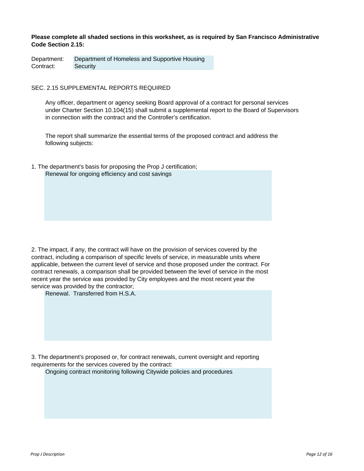# **Please complete all shaded sections in this worksheet, as is required by San Francisco Administrative Code Section 2.15:**

Department: Department of Homeless and Supportive Housing Contract: Security

# SEC. 2.15 SUPPLEMENTAL REPORTS REQUIRED

Any officer, department or agency seeking Board approval of a contract for personal services under Charter Section 10.104(15) shall submit a supplemental report to the Board of Supervisors in connection with the contract and the Controller's certification.

The report shall summarize the essential terms of the proposed contract and address the following subjects:

Renewal for ongoing efficiency and cost savings 1. The department's basis for proposing the Prop J certification;

2. The impact, if any, the contract will have on the provision of services covered by the contract, including a comparison of specific levels of service, in measurable units where applicable, between the current level of service and those proposed under the contract. For contract renewals, a comparison shall be provided between the level of service in the most recent year the service was provided by City employees and the most recent year the service was provided by the contractor;

Renewal. Transferred from H.S.A.

3. The department's proposed or, for contract renewals, current oversight and reporting requirements for the services covered by the contract:

Ongoing contract monitoring following Citywide policies and procedures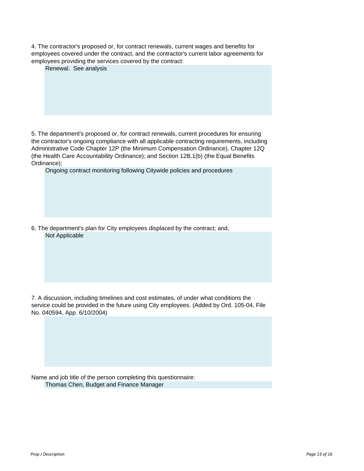| 4. The contractor's proposed or, for contract renewals, current wages and benefits for  |
|-----------------------------------------------------------------------------------------|
| employees covered under the contract, and the contractor's current labor agreements for |
| employees providing the services covered by the contract:                               |

|  | Renewal. See analysis |  |
|--|-----------------------|--|

5. The department's proposed or, for contract renewals, current procedures for ensuring the contractor's ongoing compliance with all applicable contracting requirements, including Administrative Code Chapter 12P (the Minimum Compensation Ordinance), Chapter 12Q (the Health Care Accountability Ordinance); and Section 12B.1(b) (the Equal Benefits Ordinance);

Ongoing contract monitoring following Citywide policies and procedures

Not Applicable 6. The department's plan for City employees displaced by the contract; and,

7. A discussion, including timelines and cost estimates, of under what conditions the service could be provided in the future using City employees. (Added by Ord. 105-04, File No. 040594, App. 6/10/2004)

Name and job title of the person completing this questionnaire: Thomas Chen, Budget and Finance Manager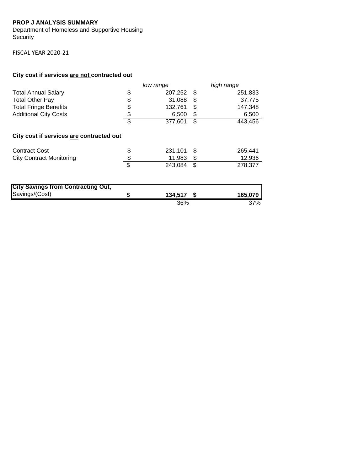# **PROP J ANALYSIS SUMMARY**

Department of Homeless and Supportive Housing Security

FISCAL YEAR 2020‐21

# **City cost if services are not contracted out**

|                                           |    | low range |      | high range |
|-------------------------------------------|----|-----------|------|------------|
| <b>Total Annual Salary</b>                | \$ | 207,252   | \$   | 251,833    |
| <b>Total Other Pay</b>                    | \$ | 31,088    | \$   | 37,775     |
| <b>Total Fringe Benefits</b>              | \$ | 132,761   | \$   | 147,348    |
| <b>Additional City Costs</b>              | \$ | 6,500     | \$   | 6,500      |
|                                           | \$ | 377,601   | \$   | 443,456    |
| City cost if services are contracted out  |    |           |      |            |
| <b>Contract Cost</b>                      | S  | 231,101   | -S   | 265,441    |
| <b>City Contract Monitoring</b>           |    | 11,983    | \$   | 12,936     |
|                                           | \$ | 243,084   | \$   | 278,377    |
|                                           |    |           |      |            |
| <b>City Savings from Contracting Out,</b> |    |           |      |            |
| Savings/(Cost)                            | \$ | 134,517   | - \$ | 165,079    |

36% 37%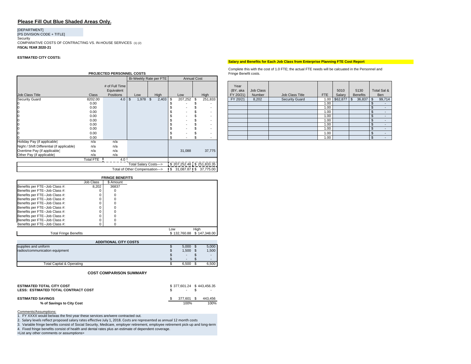# **Please Fill Out Blue Shaded Areas Only.**

# [DEPARTMENT] [PS DIVISION CODE + TITLE] Security COMPARATIVE COSTS OF CONTRACTING VS. IN-HOUSE SERVICES (1) (2) **FISCAL YEAR 2020‐21**

### **ESTIMATED CITY COSTS:**

|                                            |                  | <b>PROJECTED PERSONNEL COSTS</b> |                                 |      |       |                    |                             | Fringe Benefit costs. |           |                       |            |          |                 |                |                  |
|--------------------------------------------|------------------|----------------------------------|---------------------------------|------|-------|--------------------|-----------------------------|-----------------------|-----------|-----------------------|------------|----------|-----------------|----------------|------------------|
|                                            |                  |                                  | Bi-Weekly Rate per FTE          |      |       | <b>Annual Cost</b> |                             |                       |           |                       |            |          |                 |                |                  |
|                                            |                  | # of Full Time<br>Equivalent     |                                 |      |       |                    |                             | Year<br>(BY, aka      | Job Class |                       |            | 5010     | 5130            |                | Total Sal &      |
| Job Class Title                            | Class            | Positions                        | Low                             | High |       | Low                | High                        | FY 20/21)             | Number    | Job Class Title       | <b>FTE</b> | Salary   | <b>Benefits</b> |                | Ben              |
| <b>Security Guard</b>                      | 8202.00          | $4.0$ \$                         | 1,978 \$                        |      | 2,403 | \$<br>207,252      | 251,833                     | FY 20/21              | 8,202     | <b>Security Guard</b> | 1.00       | \$62,877 | 36,837<br>\$    | l \$           | 99,714           |
| Ю                                          | 0.00             |                                  |                                 |      |       |                    |                             |                       |           |                       | 1.00       |          |                 |                | $\sim$           |
| 0                                          | 0.00             |                                  |                                 |      |       |                    |                             |                       |           |                       | 1.00       |          |                 |                | $\sim$           |
| 0                                          | 0.00             |                                  |                                 |      |       |                    | $\overline{\phantom{a}}$    |                       |           |                       | 1.00       |          |                 |                | $\sim$           |
| 0                                          | 0.00             |                                  |                                 |      |       |                    |                             |                       |           |                       | 1.00       |          |                 |                | $\sim$ 100 $\mu$ |
| O                                          | 0.00             |                                  |                                 |      |       |                    | $\overline{\phantom{a}}$    |                       |           |                       | 1.00       |          |                 |                | $\sim$           |
| 0                                          | 0.00             |                                  |                                 |      |       |                    |                             |                       |           |                       | 1.00       |          |                 |                | $\sim$           |
| 0                                          | 0.00             |                                  |                                 |      |       |                    |                             |                       |           |                       | 1.00       |          |                 |                | $\sim$           |
| 0                                          | 0.00             |                                  |                                 |      |       |                    |                             |                       |           |                       | 1.00       |          |                 |                | $\sim$           |
|                                            | 0.00             |                                  |                                 |      |       |                    |                             |                       |           |                       | 1.00       |          |                 | $\mathfrak{S}$ | $\sim$           |
| Holiday Pay (if applicable)                | n/a              | n/a                              |                                 |      |       |                    |                             |                       |           |                       |            |          |                 |                |                  |
| Night / Shift Differential (if applicable) | n/a              | n/a                              |                                 |      |       |                    |                             |                       |           |                       |            |          |                 |                |                  |
| Overtime Pay (if applicable)               | n/a              | n/a                              |                                 |      |       | 31,088             | 37,775                      |                       |           |                       |            |          |                 |                |                  |
| Other Pay (if applicable)                  | n/a              | n/a                              |                                 |      |       |                    |                             |                       |           |                       |            |          |                 |                |                  |
|                                            | <b>Total FTE</b> | 4.0                              |                                 |      |       |                    |                             |                       |           |                       |            |          |                 |                |                  |
|                                            |                  |                                  | Total Salary Costs--->          |      |       |                    | $$207,252.48$ $$251,833.35$ |                       |           |                       |            |          |                 |                |                  |
|                                            |                  |                                  | Total of Other Compensation---> |      |       |                    | S 31,087.87 S 37,775.00     |                       |           |                       |            |          |                 |                |                  |

|                                |           | <b>FRINGE BENEFITS</b> |              |              |
|--------------------------------|-----------|------------------------|--------------|--------------|
|                                | Job Class | \$ Amount              |              |              |
| Benefits per FTE--Job Class #: | 8.202     | 36837                  |              |              |
| Benefits per FTE--Job Class #: |           |                        |              |              |
| Benefits per FTE--Job Class #: |           |                        |              |              |
| Benefits per FTE--Job Class #: |           |                        |              |              |
| Benefits per FTE--Job Class #: |           |                        |              |              |
| Benefits per FTE--Job Class #: |           |                        |              |              |
| Benefits per FTE--Job Class #: |           |                        |              |              |
| Benefits per FTE--Job Class #: |           |                        |              |              |
| Benefits per FTE--Job Class #: |           |                        |              |              |
| Benefits per FTE--Job Class #: |           |                        |              |              |
|                                |           |                        | Low          | High         |
| <b>Total Fringe Benefits</b>   |           |                        | \$132,760.88 | \$147,348,00 |

#### $$5,000$  \$ 5,000  $$ 1,500 \$ 1,500$  $\texttt{\$}$  -  $\texttt{\$}$  -\$ - - \$ Total Capital & Operating **6,500** \$ 6,500 \$ 6,500 **ADDITIONAL CITY COSTS** supplies and uniform radios/communication equipment

### **COST COMPARISON SUMMARY**

| <b>ESTIMATED TOTAL CITY COST</b><br>LESS: ESTIMATED TOTAL CONTRACT COST | \$377,601.24 \$443,456.35<br>$-$ \$ | $\sim$  |
|-------------------------------------------------------------------------|-------------------------------------|---------|
| <b>ESTIMATED SAVINGS</b>                                                | 377.601 \$                          | 443.456 |
| % of Savings to City Cost                                               | 100%                                | 100%    |

Comments/Assumptions<u>:</u><br>1. FY XXXX would be/was the first year these services are/were contracted out.<br>2. Salary levels reflect proposed salary rates effective July 1, 2018. Costs are represented as annual 12 month costs

3. Variable fringe benefits consist of Social Security, Medicare, employer retirement, employee retirement pick-up and long-term

4. Fixed fringe benefits consist of health and dental rates plus an estimate of dependent coverage. <List any other comments or assumptions>

# **Salary and Benefits for Each Job Class from Enterprise Planning FTE Cost Report**

Complete this with the cost of 1.0 FTE; the actual FTE needs will be calcuated in the Personnel and Fringe Benefit costs.

| Low     |   | High    | Year<br>(BY, aka<br>FY 20/21) | Job Class<br>Number | Job Class Title       | <b>FTE</b> | 5010<br>Salary | 5130<br><b>Benefits</b> |     | Total Sal &<br><b>Ben</b> |
|---------|---|---------|-------------------------------|---------------------|-----------------------|------------|----------------|-------------------------|-----|---------------------------|
| 207,252 | S | 251,833 | FY 20/21                      | 8,202               | <b>Security Guard</b> | 1.00       | $$62,877$ \$   | 36,837                  | \$  | 99,714                    |
|         |   | -       |                               |                     |                       | 1.00       |                |                         |     | -                         |
|         |   | -       |                               |                     |                       | 1.00       |                |                         |     | -                         |
|         |   | -       |                               |                     |                       | 1.00       |                |                         |     | $\overline{\phantom{a}}$  |
|         |   | -       |                               |                     |                       | 1.00       |                |                         |     | -                         |
|         |   | -       |                               |                     |                       | 1.00       |                |                         |     | $\overline{\phantom{a}}$  |
|         |   | -       |                               |                     |                       | 1.00       |                |                         |     | $\overline{\phantom{a}}$  |
|         |   | -       |                               |                     |                       | 1.00       |                |                         |     | -                         |
|         |   | -       |                               |                     |                       | 1.00       |                |                         |     | -                         |
|         |   |         |                               |                     |                       | 1.00       |                |                         | \$. | $\overline{\phantom{a}}$  |